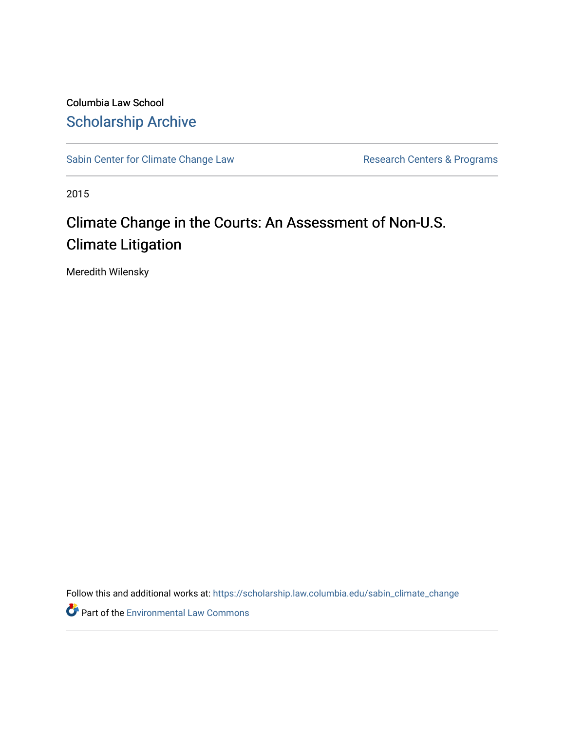Columbia Law School [Scholarship Archive](https://scholarship.law.columbia.edu/) 

[Sabin Center for Climate Change Law](https://scholarship.law.columbia.edu/sabin_climate_change) Research Centers & Programs

2015

## Climate Change in the Courts: An Assessment of Non-U.S. Climate Litigation

Meredith Wilensky

Follow this and additional works at: [https://scholarship.law.columbia.edu/sabin\\_climate\\_change](https://scholarship.law.columbia.edu/sabin_climate_change?utm_source=scholarship.law.columbia.edu%2Fsabin_climate_change%2F135&utm_medium=PDF&utm_campaign=PDFCoverPages) 

Part of the [Environmental Law Commons](http://network.bepress.com/hgg/discipline/599?utm_source=scholarship.law.columbia.edu%2Fsabin_climate_change%2F135&utm_medium=PDF&utm_campaign=PDFCoverPages)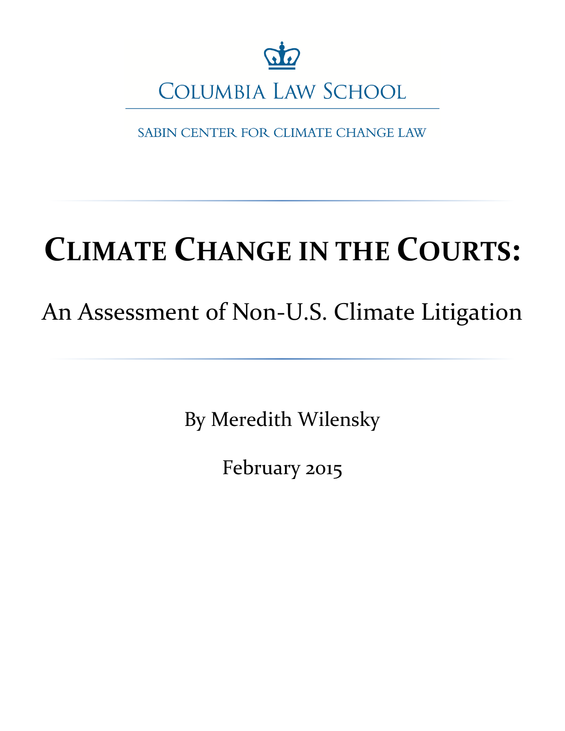

SABIN CENTER FOR CLIMATE CHANGE LAW

# **CLIMATE CHANGE IN THE COURTS:**

## An Assessment of Non-U.S. Climate Litigation

By Meredith Wilensky

February 2015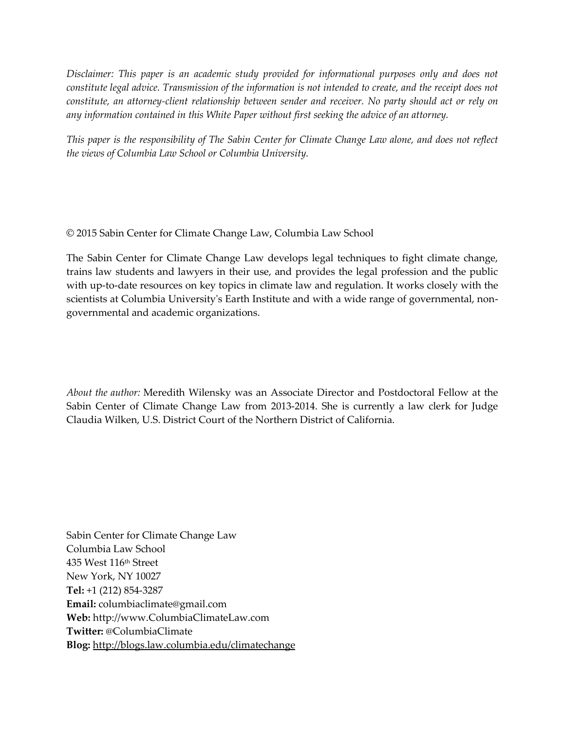*Disclaimer: This paper is an academic study provided for informational purposes only and does not constitute legal advice. Transmission of the information is not intended to create, and the receipt does not constitute, an attorney-client relationship between sender and receiver. No party should act or rely on any information contained in this White Paper without first seeking the advice of an attorney.* 

*This paper is the responsibility of The Sabin Center for Climate Change Law alone, and does not reflect the views of Columbia Law School or Columbia University.*

© 2015 Sabin Center for Climate Change Law, Columbia Law School

The Sabin Center for Climate Change Law develops legal techniques to fight climate change, trains law students and lawyers in their use, and provides the legal profession and the public with up-to-date resources on key topics in climate law and regulation. It works closely with the scientists at Columbia University's Earth Institute and with a wide range of governmental, nongovernmental and academic organizations.

*About the author:* Meredith Wilensky was an Associate Director and Postdoctoral Fellow at the Sabin Center of Climate Change Law from 2013-2014. She is currently a law clerk for Judge Claudia Wilken, U.S. District Court of the Northern District of California.

Sabin Center for Climate Change Law Columbia Law School 435 West 116th Street New York, NY 10027 **Tel:** +1 (212) 854-3287 **Email:** columbiaclimate@gmail.com **Web:** http://www.ColumbiaClimateLaw.com **Twitter:** @ColumbiaClimate **Blog:** <http://blogs.law.columbia.edu/climatechange>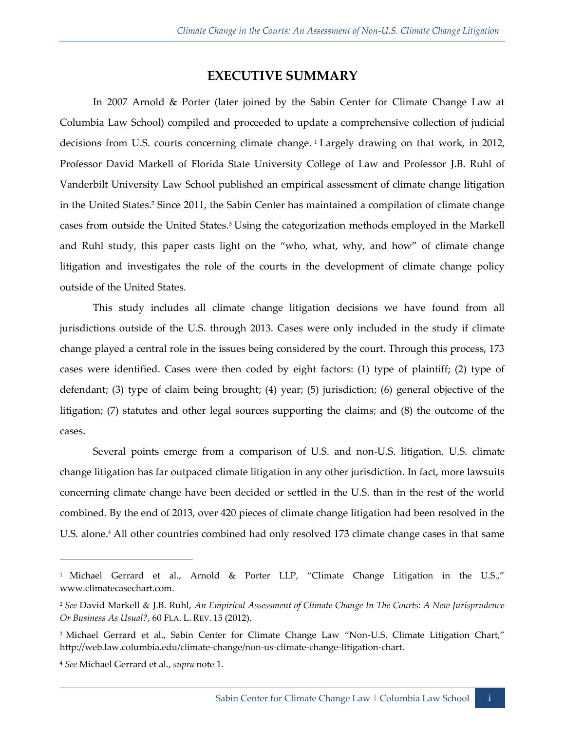## **EXECUTIVE SUMMARY**

In 2007 Arnold & Porter (later joined by the Sabin Center for Climate Change Law at Columbia Law School) compiled and proceeded to update a comprehensive collection of judicial decisions from U.S. courts concerning climate change. <sup>1</sup> Largely drawing on that work, in 2012, Professor David Markell of Florida State University College of Law and Professor J.B. Ruhl of Vanderbilt University Law School published an empirical assessment of climate change litigation in the United States.<sup>2</sup> Since 2011, the Sabin Center has maintained a compilation of climate change cases from outside the United States.<sup>3</sup> Using the categorization methods employed in the Markell and Ruhl study, this paper casts light on the "who, what, why, and how" of climate change litigation and investigates the role of the courts in the development of climate change policy outside of the United States.

This study includes all climate change litigation decisions we have found from all jurisdictions outside of the U.S. through 2013. Cases were only included in the study if climate change played a central role in the issues being considered by the court. Through this process, 173 cases were identified. Cases were then coded by eight factors: (1) type of plaintiff; (2) type of defendant; (3) type of claim being brought; (4) year; (5) jurisdiction; (6) general objective of the litigation; (7) statutes and other legal sources supporting the claims; and (8) the outcome of the cases.

Several points emerge from a comparison of U.S. and non-U.S. litigation. U.S. climate change litigation has far outpaced climate litigation in any other jurisdiction. In fact, more lawsuits concerning climate change have been decided or settled in the U.S. than in the rest of the world combined. By the end of 2013, over 420 pieces of climate change litigation had been resolved in the U.S. alone.<sup>4</sup> All other countries combined had only resolved 173 climate change cases in that same

<sup>&</sup>lt;sup>1</sup> Michael Gerrard et al., Arnold & Porter LLP, "Climate Change Litigation in the U.S.," www.climatecasechart.com.

<sup>2</sup> *See* David Markell & J.B. Ruhl, *An Empirical Assessment of Climate Change In The Courts: A New Jurisprudence Or Business As Usual?*, 60 FLA. L. REV. 15 (2012).

<sup>&</sup>lt;sup>3</sup> Michael Gerrard et al., Sabin Center for Climate Change Law "Non-U.S. Climate Litigation Chart," http://web.law.columbia.edu/climate-change/non-us-climate-change-litigation-chart.

<sup>4</sup> *See* Michael Gerrard et al., *supra* note 1.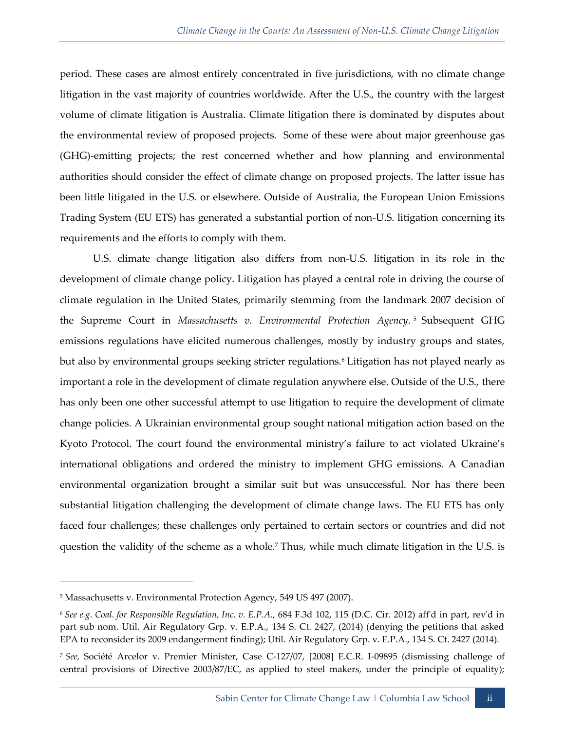period. These cases are almost entirely concentrated in five jurisdictions, with no climate change litigation in the vast majority of countries worldwide. After the U.S., the country with the largest volume of climate litigation is Australia. Climate litigation there is dominated by disputes about the environmental review of proposed projects. Some of these were about major greenhouse gas (GHG)-emitting projects; the rest concerned whether and how planning and environmental authorities should consider the effect of climate change on proposed projects. The latter issue has been little litigated in the U.S. or elsewhere. Outside of Australia, the European Union Emissions Trading System (EU ETS) has generated a substantial portion of non-U.S. litigation concerning its requirements and the efforts to comply with them.

U.S. climate change litigation also differs from non-U.S. litigation in its role in the development of climate change policy. Litigation has played a central role in driving the course of climate regulation in the United States, primarily stemming from the landmark 2007 decision of the Supreme Court in *Massachusetts v. Environmental Protection Agency*. <sup>5</sup> Subsequent GHG emissions regulations have elicited numerous challenges, mostly by industry groups and states, but also by environmental groups seeking stricter regulations.<sup>6</sup> Litigation has not played nearly as important a role in the development of climate regulation anywhere else. Outside of the U.S., there has only been one other successful attempt to use litigation to require the development of climate change policies. A Ukrainian environmental group sought national mitigation action based on the Kyoto Protocol. The court found the environmental ministry's failure to act violated Ukraine's international obligations and ordered the ministry to implement GHG emissions. A Canadian environmental organization brought a similar suit but was unsuccessful. Nor has there been substantial litigation challenging the development of climate change laws. The EU ETS has only faced four challenges; these challenges only pertained to certain sectors or countries and did not question the validity of the scheme as a whole.<sup>7</sup> Thus, while much climate litigation in the U.S. is

<sup>5</sup> Massachusetts v. Environmental Protection Agency, 549 US 497 (2007).

<sup>6</sup> *See e.g. Coal. for Responsible Regulation, Inc. v. E.P.A.,* 684 F.3d 102, 115 (D.C. Cir. 2012) aff'd in part, rev'd in part sub nom. Util. Air Regulatory Grp. v. E.P.A., 134 S. Ct. 2427, (2014) (denying the petitions that asked EPA to reconsider its 2009 endangerment finding); Util. Air Regulatory Grp. v. E.P.A., 134 S. Ct. 2427 (2014).

<sup>7</sup> *See,* Société Arcelor v. Premier Minister, Case C-127/07, [2008] E.C.R. I-09895 (dismissing challenge of central provisions of Directive 2003/87/EC, as applied to steel makers, under the principle of equality);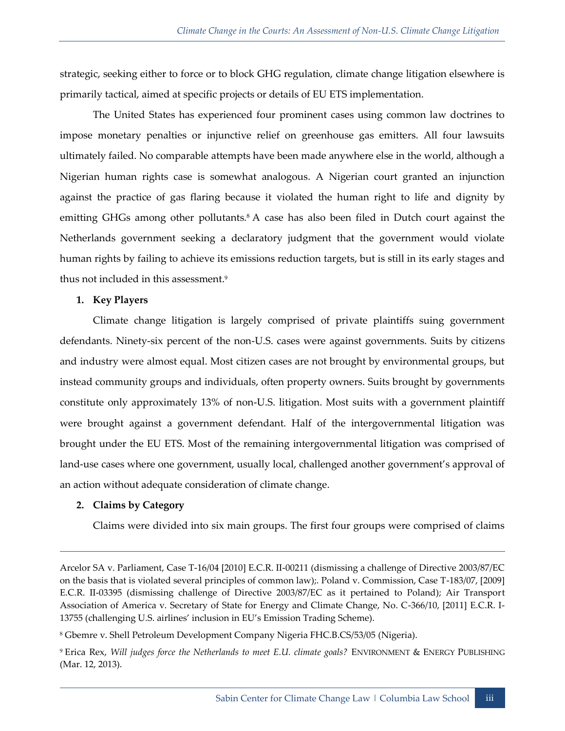strategic, seeking either to force or to block GHG regulation, climate change litigation elsewhere is primarily tactical, aimed at specific projects or details of EU ETS implementation.

The United States has experienced four prominent cases using common law doctrines to impose monetary penalties or injunctive relief on greenhouse gas emitters. All four lawsuits ultimately failed. No comparable attempts have been made anywhere else in the world, although a Nigerian human rights case is somewhat analogous. A Nigerian court granted an injunction against the practice of gas flaring because it violated the human right to life and dignity by emitting GHGs among other pollutants.<sup>8</sup> A case has also been filed in Dutch court against the Netherlands government seeking a declaratory judgment that the government would violate human rights by failing to achieve its emissions reduction targets, but is still in its early stages and thus not included in this assessment.<sup>9</sup>

#### **1. Key Players**

Climate change litigation is largely comprised of private plaintiffs suing government defendants. Ninety-six percent of the non-U.S. cases were against governments. Suits by citizens and industry were almost equal. Most citizen cases are not brought by environmental groups, but instead community groups and individuals, often property owners. Suits brought by governments constitute only approximately 13% of non-U.S. litigation. Most suits with a government plaintiff were brought against a government defendant. Half of the intergovernmental litigation was brought under the EU ETS. Most of the remaining intergovernmental litigation was comprised of land-use cases where one government, usually local, challenged another government's approval of an action without adequate consideration of climate change.

#### **2. Claims by Category**

-

Claims were divided into six main groups. The first four groups were comprised of claims

<sup>8</sup> Gbemre v. Shell Petroleum Development Company Nigeria FHC.B.CS/53/05 (Nigeria).

Arcelor SA v. Parliament, Case T-16/04 [2010] E.C.R. II-00211 (dismissing a challenge of Directive 2003/87/EC on the basis that is violated several principles of common law);. Poland v. Commission, Case T-183/07, [2009] E.C.R. II-03395 (dismissing challenge of Directive 2003/87/EC as it pertained to Poland); Air Transport Association of America v. Secretary of State for Energy and Climate Change, No. C-366/10, [2011] E.C.R. I-13755 (challenging U.S. airlines' inclusion in EU's Emission Trading Scheme).

<sup>9</sup> Erica Rex, *Will judges force the Netherlands to meet E.U. climate goals?* ENVIRONMENT & ENERGY PUBLISHING (Mar. 12, 2013).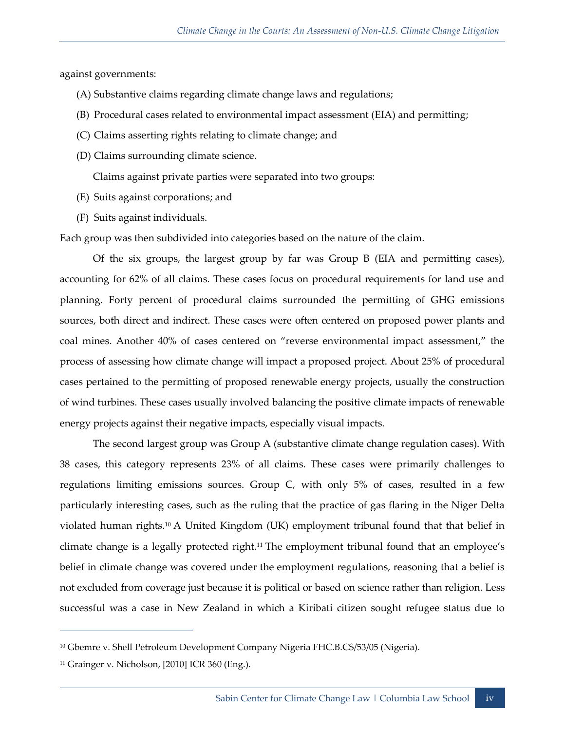against governments:

- (A) Substantive claims regarding climate change laws and regulations;
- (B) Procedural cases related to environmental impact assessment (EIA) and permitting;
- (C) Claims asserting rights relating to climate change; and
- (D) Claims surrounding climate science.

Claims against private parties were separated into two groups:

- (E) Suits against corporations; and
- (F) Suits against individuals.

Each group was then subdivided into categories based on the nature of the claim.

Of the six groups, the largest group by far was Group B (EIA and permitting cases), accounting for 62% of all claims. These cases focus on procedural requirements for land use and planning. Forty percent of procedural claims surrounded the permitting of GHG emissions sources, both direct and indirect. These cases were often centered on proposed power plants and coal mines. Another 40% of cases centered on "reverse environmental impact assessment," the process of assessing how climate change will impact a proposed project. About 25% of procedural cases pertained to the permitting of proposed renewable energy projects, usually the construction of wind turbines. These cases usually involved balancing the positive climate impacts of renewable energy projects against their negative impacts, especially visual impacts.

The second largest group was Group A (substantive climate change regulation cases). With 38 cases, this category represents 23% of all claims. These cases were primarily challenges to regulations limiting emissions sources. Group C, with only 5% of cases, resulted in a few particularly interesting cases, such as the ruling that the practice of gas flaring in the Niger Delta violated human rights.<sup>10</sup> A United Kingdom (UK) employment tribunal found that that belief in climate change is a legally protected right.<sup>11</sup> The employment tribunal found that an employee's belief in climate change was covered under the employment regulations, reasoning that a belief is not excluded from coverage just because it is political or based on science rather than religion. Less successful was a case in New Zealand in which a Kiribati citizen sought refugee status due to

<sup>10</sup> Gbemre v. Shell Petroleum Development Company Nigeria FHC.B.CS/53/05 (Nigeria).

 $11$  Grainger v. Nicholson, [2010] ICR 360 (Eng.).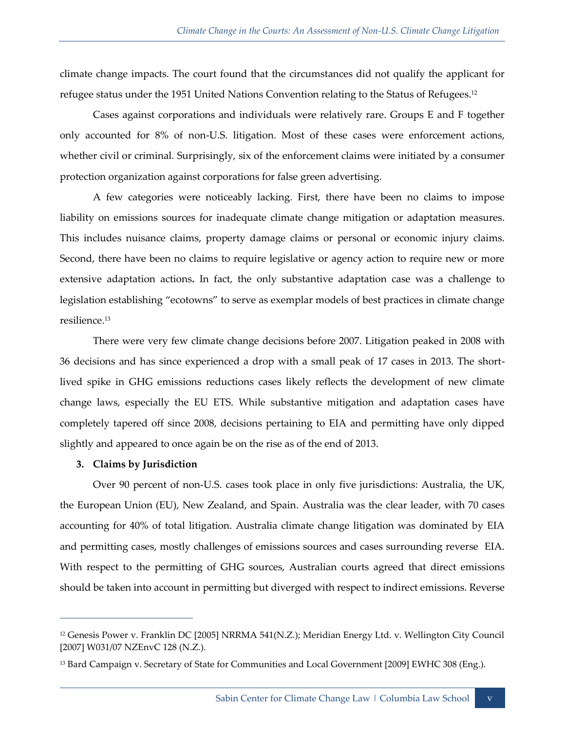climate change impacts. The court found that the circumstances did not qualify the applicant for refugee status under the 1951 United Nations Convention relating to the Status of Refugees.<sup>12</sup>

Cases against corporations and individuals were relatively rare. Groups E and F together only accounted for 8% of non-U.S. litigation. Most of these cases were enforcement actions, whether civil or criminal. Surprisingly, six of the enforcement claims were initiated by a consumer protection organization against corporations for false green advertising.

A few categories were noticeably lacking. First, there have been no claims to impose liability on emissions sources for inadequate climate change mitigation or adaptation measures. This includes nuisance claims, property damage claims or personal or economic injury claims. Second, there have been no claims to require legislative or agency action to require new or more extensive adaptation actions**.** In fact, the only substantive adaptation case was a challenge to legislation establishing "ecotowns" to serve as exemplar models of best practices in climate change resilience.<sup>13</sup>

There were very few climate change decisions before 2007. Litigation peaked in 2008 with 36 decisions and has since experienced a drop with a small peak of 17 cases in 2013. The shortlived spike in GHG emissions reductions cases likely reflects the development of new climate change laws, especially the EU ETS. While substantive mitigation and adaptation cases have completely tapered off since 2008, decisions pertaining to EIA and permitting have only dipped slightly and appeared to once again be on the rise as of the end of 2013.

#### **3. Claims by Jurisdiction**

 $\overline{a}$ 

Over 90 percent of non-U.S. cases took place in only five jurisdictions: Australia, the UK, the European Union (EU), New Zealand, and Spain. Australia was the clear leader, with 70 cases accounting for 40% of total litigation. Australia climate change litigation was dominated by EIA and permitting cases, mostly challenges of emissions sources and cases surrounding reverse EIA. With respect to the permitting of GHG sources, Australian courts agreed that direct emissions should be taken into account in permitting but diverged with respect to indirect emissions. Reverse

<sup>12</sup> Genesis Power v. Franklin DC [2005] NRRMA 541(N.Z.); Meridian Energy Ltd. v. Wellington City Council [2007] W031/07 NZEnvC 128 (N.Z.).

<sup>&</sup>lt;sup>13</sup> Bard Campaign v. Secretary of State for Communities and Local Government [2009] EWHC 308 (Eng.).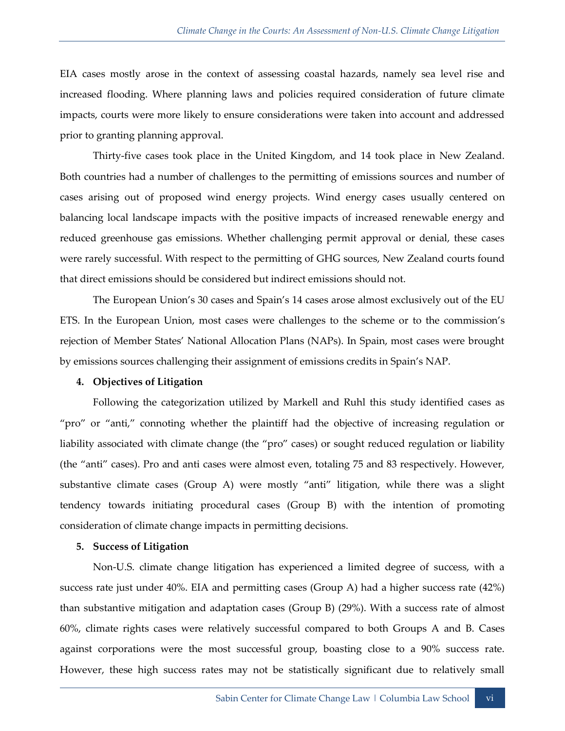EIA cases mostly arose in the context of assessing coastal hazards, namely sea level rise and increased flooding. Where planning laws and policies required consideration of future climate impacts, courts were more likely to ensure considerations were taken into account and addressed prior to granting planning approval.

Thirty-five cases took place in the United Kingdom, and 14 took place in New Zealand. Both countries had a number of challenges to the permitting of emissions sources and number of cases arising out of proposed wind energy projects. Wind energy cases usually centered on balancing local landscape impacts with the positive impacts of increased renewable energy and reduced greenhouse gas emissions. Whether challenging permit approval or denial, these cases were rarely successful. With respect to the permitting of GHG sources, New Zealand courts found that direct emissions should be considered but indirect emissions should not.

The European Union's 30 cases and Spain's 14 cases arose almost exclusively out of the EU ETS. In the European Union, most cases were challenges to the scheme or to the commission's rejection of Member States' National Allocation Plans (NAPs). In Spain, most cases were brought by emissions sources challenging their assignment of emissions credits in Spain's NAP.

#### **4. Objectives of Litigation**

Following the categorization utilized by Markell and Ruhl this study identified cases as "pro" or "anti," connoting whether the plaintiff had the objective of increasing regulation or liability associated with climate change (the "pro" cases) or sought reduced regulation or liability (the "anti" cases). Pro and anti cases were almost even, totaling 75 and 83 respectively. However, substantive climate cases (Group A) were mostly "anti" litigation, while there was a slight tendency towards initiating procedural cases (Group B) with the intention of promoting consideration of climate change impacts in permitting decisions.

#### **5. Success of Litigation**

Non-U.S. climate change litigation has experienced a limited degree of success, with a success rate just under 40%. EIA and permitting cases (Group A) had a higher success rate (42%) than substantive mitigation and adaptation cases (Group B) (29%). With a success rate of almost 60%, climate rights cases were relatively successful compared to both Groups A and B. Cases against corporations were the most successful group, boasting close to a 90% success rate. However, these high success rates may not be statistically significant due to relatively small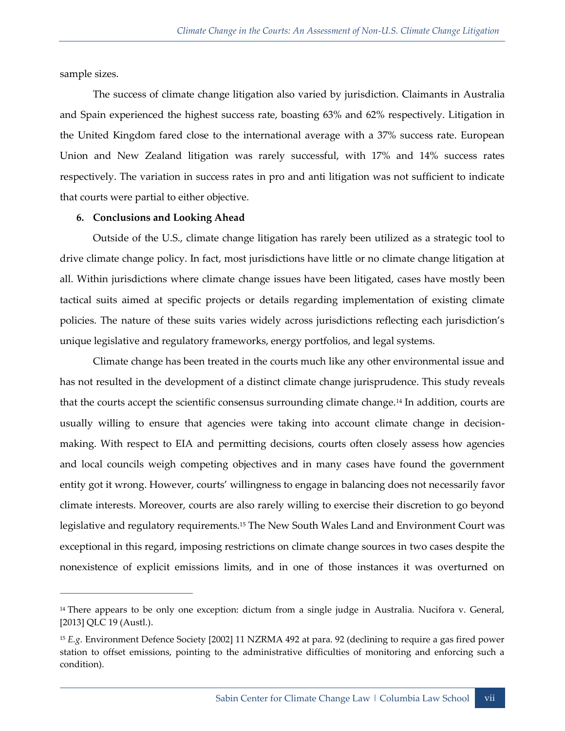sample sizes.

 $\overline{a}$ 

The success of climate change litigation also varied by jurisdiction. Claimants in Australia and Spain experienced the highest success rate, boasting 63% and 62% respectively. Litigation in the United Kingdom fared close to the international average with a 37% success rate. European Union and New Zealand litigation was rarely successful, with 17% and 14% success rates respectively. The variation in success rates in pro and anti litigation was not sufficient to indicate that courts were partial to either objective.

#### **6. Conclusions and Looking Ahead**

Outside of the U.S., climate change litigation has rarely been utilized as a strategic tool to drive climate change policy. In fact, most jurisdictions have little or no climate change litigation at all. Within jurisdictions where climate change issues have been litigated, cases have mostly been tactical suits aimed at specific projects or details regarding implementation of existing climate policies. The nature of these suits varies widely across jurisdictions reflecting each jurisdiction's unique legislative and regulatory frameworks, energy portfolios, and legal systems.

Climate change has been treated in the courts much like any other environmental issue and has not resulted in the development of a distinct climate change jurisprudence. This study reveals that the courts accept the scientific consensus surrounding climate change.<sup>14</sup> In addition, courts are usually willing to ensure that agencies were taking into account climate change in decisionmaking. With respect to EIA and permitting decisions, courts often closely assess how agencies and local councils weigh competing objectives and in many cases have found the government entity got it wrong. However, courts' willingness to engage in balancing does not necessarily favor climate interests. Moreover, courts are also rarely willing to exercise their discretion to go beyond legislative and regulatory requirements.<sup>15</sup> The New South Wales Land and Environment Court was exceptional in this regard, imposing restrictions on climate change sources in two cases despite the nonexistence of explicit emissions limits, and in one of those instances it was overturned on

<sup>&</sup>lt;sup>14</sup> There appears to be only one exception: dictum from a single judge in Australia. Nucifora v. General, [2013] QLC 19 (Austl.).

<sup>15</sup> *E.g.* Environment Defence Society [2002] 11 NZRMA 492 at para. 92 (declining to require a gas fired power station to offset emissions, pointing to the administrative difficulties of monitoring and enforcing such a condition).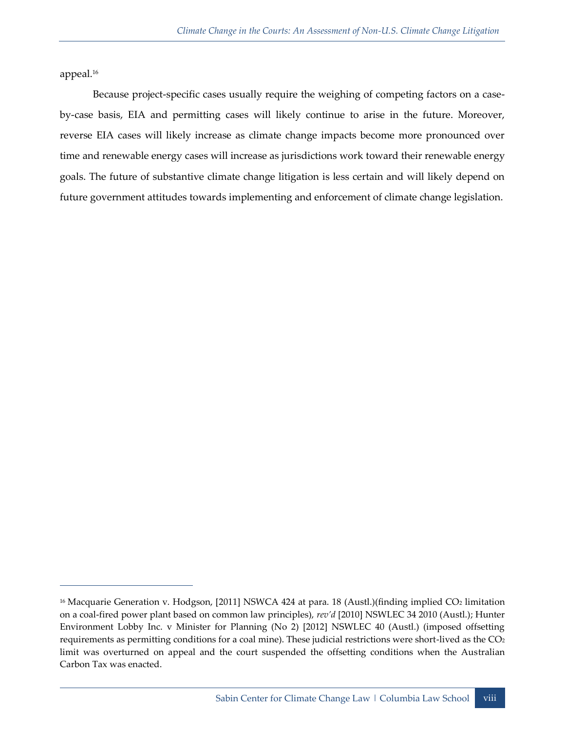appeal.<sup>16</sup>

 $\overline{a}$ 

Because project-specific cases usually require the weighing of competing factors on a caseby-case basis, EIA and permitting cases will likely continue to arise in the future. Moreover, reverse EIA cases will likely increase as climate change impacts become more pronounced over time and renewable energy cases will increase as jurisdictions work toward their renewable energy goals. The future of substantive climate change litigation is less certain and will likely depend on future government attitudes towards implementing and enforcement of climate change legislation.

<sup>&</sup>lt;sup>16</sup> Macquarie Generation v. Hodgson, [2011] NSWCA 424 at para. 18 (Austl.)(finding implied CO<sub>2</sub> limitation on a coal-fired power plant based on common law principles), *rev'd* [2010] NSWLEC 34 2010 (Austl.); Hunter Environment Lobby Inc. v Minister for Planning (No 2) [2012] NSWLEC 40 (Austl.) (imposed offsetting requirements as permitting conditions for a coal mine). These judicial restrictions were short-lived as the CO<sup>2</sup> limit was overturned on appeal and the court suspended the offsetting conditions when the Australian Carbon Tax was enacted.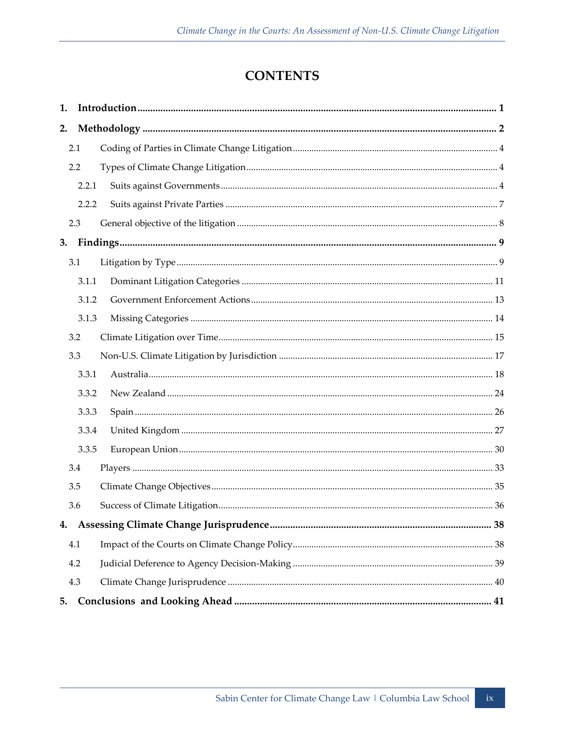## **CONTENTS**

| 1. |       |  |  |  |  |  |
|----|-------|--|--|--|--|--|
| 2. |       |  |  |  |  |  |
|    | 2.1   |  |  |  |  |  |
|    | 2.2   |  |  |  |  |  |
|    | 2.2.1 |  |  |  |  |  |
|    | 2.2.2 |  |  |  |  |  |
|    | 2.3   |  |  |  |  |  |
| 3. |       |  |  |  |  |  |
|    | 3.1   |  |  |  |  |  |
|    | 3.1.1 |  |  |  |  |  |
|    | 3.1.2 |  |  |  |  |  |
|    | 3.1.3 |  |  |  |  |  |
|    | 3.2   |  |  |  |  |  |
|    | 3.3   |  |  |  |  |  |
|    | 3.3.1 |  |  |  |  |  |
|    | 3.3.2 |  |  |  |  |  |
|    | 3.3.3 |  |  |  |  |  |
|    | 3.3.4 |  |  |  |  |  |
|    | 3.3.5 |  |  |  |  |  |
|    | 3.4   |  |  |  |  |  |
|    | 3.5   |  |  |  |  |  |
|    | 3.6   |  |  |  |  |  |
|    |       |  |  |  |  |  |
|    | 4.1   |  |  |  |  |  |
|    | 4.2   |  |  |  |  |  |
|    | 4.3   |  |  |  |  |  |
| 5. |       |  |  |  |  |  |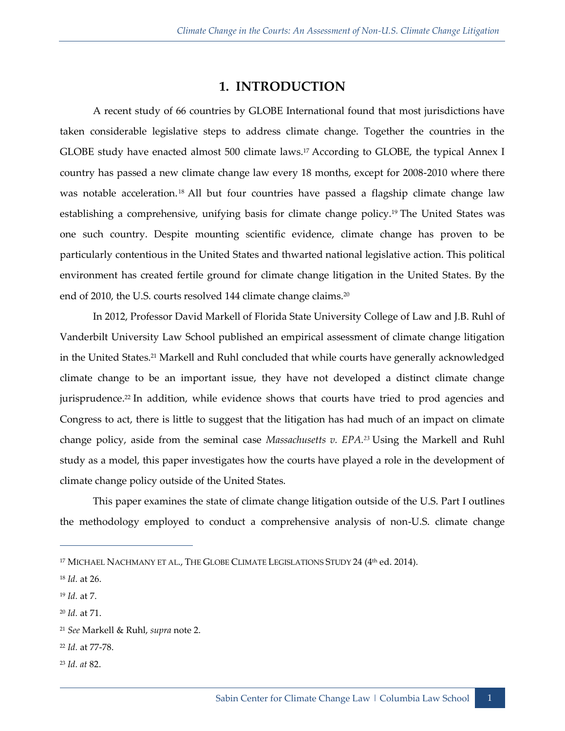## **1. INTRODUCTION**

<span id="page-12-0"></span>A recent study of 66 countries by GLOBE International found that most jurisdictions have taken considerable legislative steps to address climate change. Together the countries in the GLOBE study have enacted almost 500 climate laws.<sup>17</sup> According to GLOBE, the typical Annex I country has passed a new climate change law every 18 months, except for 2008-2010 where there was notable acceleration.<sup>18</sup> All but four countries have passed a flagship climate change law establishing a comprehensive, unifying basis for climate change policy.<sup>19</sup> The United States was one such country. Despite mounting scientific evidence, climate change has proven to be particularly contentious in the United States and thwarted national legislative action. This political environment has created fertile ground for climate change litigation in the United States. By the end of 2010, the U.S. courts resolved 144 climate change claims.<sup>20</sup>

In 2012, Professor David Markell of Florida State University College of Law and J.B. Ruhl of Vanderbilt University Law School published an empirical assessment of climate change litigation in the United States.<sup>21</sup> Markell and Ruhl concluded that while courts have generally acknowledged climate change to be an important issue, they have not developed a distinct climate change jurisprudence.<sup>22</sup> In addition, while evidence shows that courts have tried to prod agencies and Congress to act, there is little to suggest that the litigation has had much of an impact on climate change policy, aside from the seminal case *Massachusetts v. EPA.<sup>23</sup>* Using the Markell and Ruhl study as a model, this paper investigates how the courts have played a role in the development of climate change policy outside of the United States.

This paper examines the state of climate change litigation outside of the U.S. Part I outlines the methodology employed to conduct a comprehensive analysis of non-U.S. climate change

 $\overline{a}$ 

<sup>20</sup> *Id.* at 71.

- <sup>22</sup> *Id.* at 77-78.
- <sup>23</sup> *Id. at* 82.

<sup>&</sup>lt;sup>17</sup> MICHAEL NACHMANY ET AL., THE GLOBE CLIMATE LEGISLATIONS STUDY 24 (4<sup>th</sup> ed. 2014).

<sup>18</sup> *Id.* at 26.

<sup>19</sup> *Id.* at 7.

<sup>21</sup> *See* Markell & Ruhl, *supra* note 2.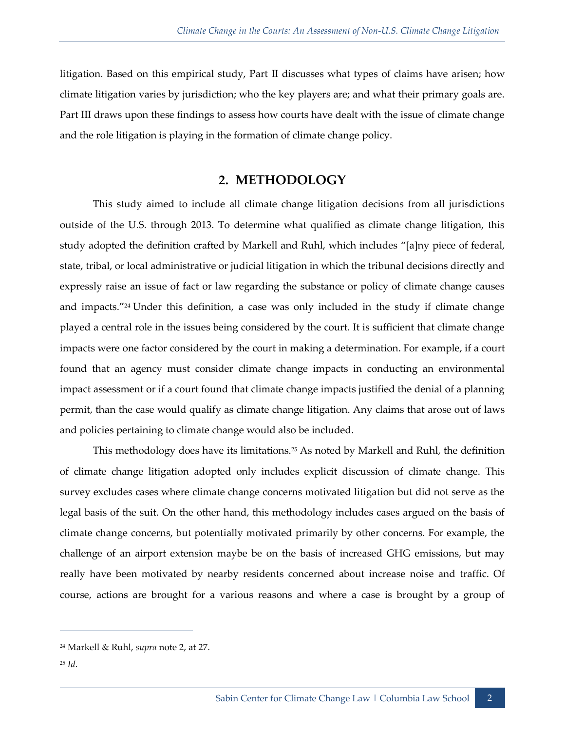litigation. Based on this empirical study, Part II discusses what types of claims have arisen; how climate litigation varies by jurisdiction; who the key players are; and what their primary goals are. Part III draws upon these findings to assess how courts have dealt with the issue of climate change and the role litigation is playing in the formation of climate change policy.

#### **2. METHODOLOGY**

<span id="page-13-0"></span>This study aimed to include all climate change litigation decisions from all jurisdictions outside of the U.S. through 2013. To determine what qualified as climate change litigation, this study adopted the definition crafted by Markell and Ruhl, which includes "[a]ny piece of federal, state, tribal, or local administrative or judicial litigation in which the tribunal decisions directly and expressly raise an issue of fact or law regarding the substance or policy of climate change causes and impacts."<sup>24</sup> Under this definition, a case was only included in the study if climate change played a central role in the issues being considered by the court. It is sufficient that climate change impacts were one factor considered by the court in making a determination. For example, if a court found that an agency must consider climate change impacts in conducting an environmental impact assessment or if a court found that climate change impacts justified the denial of a planning permit, than the case would qualify as climate change litigation. Any claims that arose out of laws and policies pertaining to climate change would also be included.

This methodology does have its limitations.<sup>25</sup> As noted by Markell and Ruhl, the definition of climate change litigation adopted only includes explicit discussion of climate change. This survey excludes cases where climate change concerns motivated litigation but did not serve as the legal basis of the suit. On the other hand, this methodology includes cases argued on the basis of climate change concerns, but potentially motivated primarily by other concerns. For example, the challenge of an airport extension maybe be on the basis of increased GHG emissions, but may really have been motivated by nearby residents concerned about increase noise and traffic. Of course, actions are brought for a various reasons and where a case is brought by a group of

<sup>24</sup> Markell & Ruhl, *supra* note 2, at 27.

<sup>25</sup> *Id*.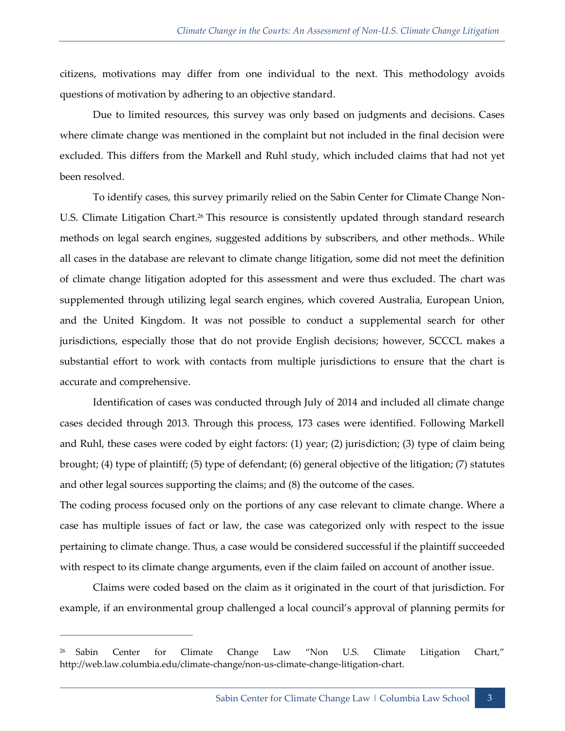citizens, motivations may differ from one individual to the next. This methodology avoids questions of motivation by adhering to an objective standard.

Due to limited resources, this survey was only based on judgments and decisions. Cases where climate change was mentioned in the complaint but not included in the final decision were excluded. This differs from the Markell and Ruhl study, which included claims that had not yet been resolved.

To identify cases, this survey primarily relied on the Sabin Center for Climate Change Non-U.S. Climate Litigation Chart.<sup>26</sup> This resource is consistently updated through standard research methods on legal search engines, suggested additions by subscribers, and other methods.. While all cases in the database are relevant to climate change litigation, some did not meet the definition of climate change litigation adopted for this assessment and were thus excluded. The chart was supplemented through utilizing legal search engines, which covered Australia, European Union, and the United Kingdom. It was not possible to conduct a supplemental search for other jurisdictions, especially those that do not provide English decisions; however, SCCCL makes a substantial effort to work with contacts from multiple jurisdictions to ensure that the chart is accurate and comprehensive.

Identification of cases was conducted through July of 2014 and included all climate change cases decided through 2013. Through this process, 173 cases were identified. Following Markell and Ruhl, these cases were coded by eight factors: (1) year; (2) jurisdiction; (3) type of claim being brought; (4) type of plaintiff; (5) type of defendant; (6) general objective of the litigation; (7) statutes and other legal sources supporting the claims; and (8) the outcome of the cases.

The coding process focused only on the portions of any case relevant to climate change. Where a case has multiple issues of fact or law, the case was categorized only with respect to the issue pertaining to climate change. Thus, a case would be considered successful if the plaintiff succeeded with respect to its climate change arguments, even if the claim failed on account of another issue.

Claims were coded based on the claim as it originated in the court of that jurisdiction. For example, if an environmental group challenged a local council's approval of planning permits for

<sup>26</sup> Sabin Center for Climate Change Law "Non U.S. Climate Litigation Chart," http://web.law.columbia.edu/climate-change/non-us-climate-change-litigation-chart.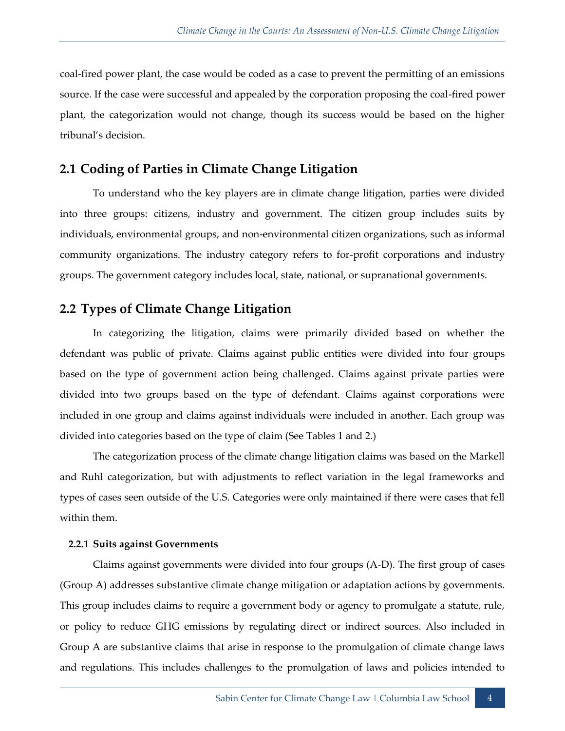coal-fired power plant, the case would be coded as a case to prevent the permitting of an emissions source. If the case were successful and appealed by the corporation proposing the coal-fired power plant, the categorization would not change, though its success would be based on the higher tribunal's decision.

## <span id="page-15-0"></span>**2.1 Coding of Parties in Climate Change Litigation**

To understand who the key players are in climate change litigation, parties were divided into three groups: citizens, industry and government. The citizen group includes suits by individuals, environmental groups, and non-environmental citizen organizations, such as informal community organizations. The industry category refers to for-profit corporations and industry groups. The government category includes local, state, national, or supranational governments.

## <span id="page-15-1"></span>**2.2 Types of Climate Change Litigation**

In categorizing the litigation, claims were primarily divided based on whether the defendant was public of private. Claims against public entities were divided into four groups based on the type of government action being challenged. Claims against private parties were divided into two groups based on the type of defendant. Claims against corporations were included in one group and claims against individuals were included in another. Each group was divided into categories based on the type of claim (See Tables 1 and 2.)

The categorization process of the climate change litigation claims was based on the Markell and Ruhl categorization, but with adjustments to reflect variation in the legal frameworks and types of cases seen outside of the U.S. Categories were only maintained if there were cases that fell within them.

#### <span id="page-15-2"></span>**2.2.1 Suits against Governments**

Claims against governments were divided into four groups (A-D). The first group of cases (Group A) addresses substantive climate change mitigation or adaptation actions by governments. This group includes claims to require a government body or agency to promulgate a statute, rule, or policy to reduce GHG emissions by regulating direct or indirect sources. Also included in Group A are substantive claims that arise in response to the promulgation of climate change laws and regulations. This includes challenges to the promulgation of laws and policies intended to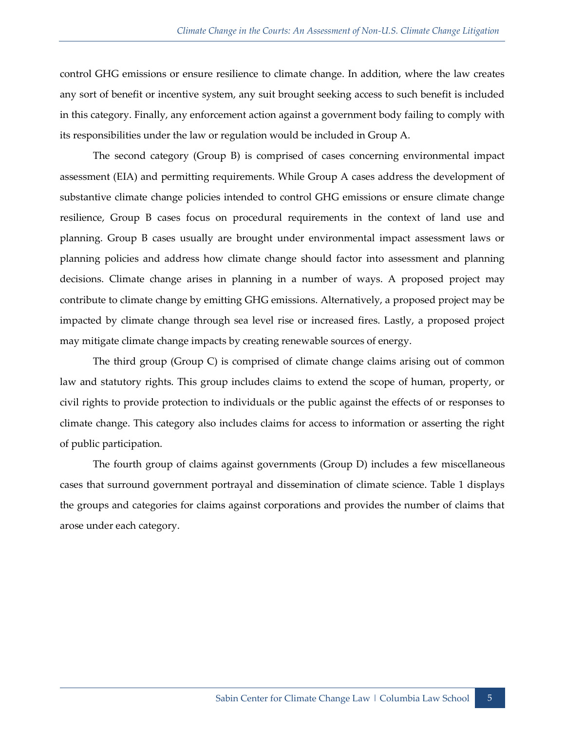control GHG emissions or ensure resilience to climate change. In addition, where the law creates any sort of benefit or incentive system, any suit brought seeking access to such benefit is included in this category. Finally, any enforcement action against a government body failing to comply with its responsibilities under the law or regulation would be included in Group A.

The second category (Group B) is comprised of cases concerning environmental impact assessment (EIA) and permitting requirements. While Group A cases address the development of substantive climate change policies intended to control GHG emissions or ensure climate change resilience, Group B cases focus on procedural requirements in the context of land use and planning. Group B cases usually are brought under environmental impact assessment laws or planning policies and address how climate change should factor into assessment and planning decisions. Climate change arises in planning in a number of ways. A proposed project may contribute to climate change by emitting GHG emissions. Alternatively, a proposed project may be impacted by climate change through sea level rise or increased fires. Lastly, a proposed project may mitigate climate change impacts by creating renewable sources of energy.

The third group (Group C) is comprised of climate change claims arising out of common law and statutory rights. This group includes claims to extend the scope of human, property, or civil rights to provide protection to individuals or the public against the effects of or responses to climate change. This category also includes claims for access to information or asserting the right of public participation.

The fourth group of claims against governments (Group D) includes a few miscellaneous cases that surround government portrayal and dissemination of climate science. Table 1 displays the groups and categories for claims against corporations and provides the number of claims that arose under each category.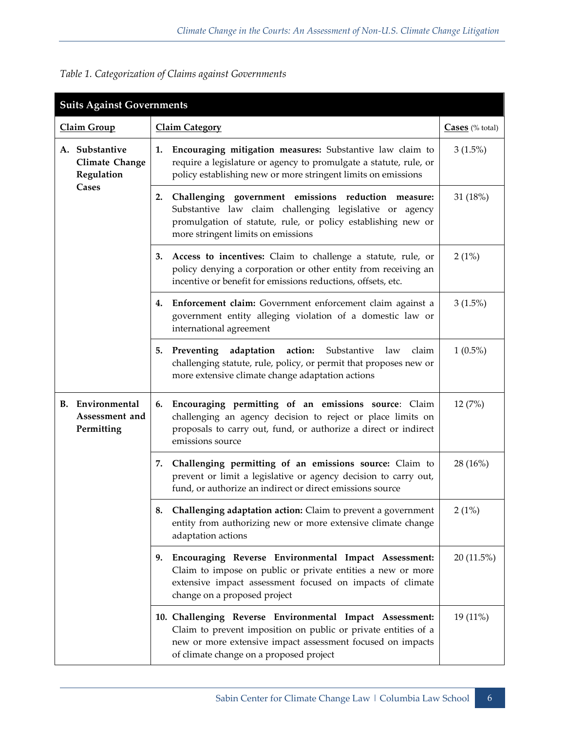| <b>Suits Against Governments</b> |                                                         |                       |                                                                                                                                                                                                                                     |                                     |
|----------------------------------|---------------------------------------------------------|-----------------------|-------------------------------------------------------------------------------------------------------------------------------------------------------------------------------------------------------------------------------------|-------------------------------------|
| Claim Group                      |                                                         | <b>Claim Category</b> |                                                                                                                                                                                                                                     | $\overline{\text{Cases}}$ (% total) |
|                                  | A. Substantive<br>Climate Change<br>Regulation          | 1.                    | Encouraging mitigation measures: Substantive law claim to<br>require a legislature or agency to promulgate a statute, rule, or<br>policy establishing new or more stringent limits on emissions                                     | $3(1.5\%)$                          |
|                                  | <b>Cases</b>                                            | 2.                    | Challenging government emissions reduction measure:<br>Substantive law claim challenging legislative or agency<br>promulgation of statute, rule, or policy establishing new or<br>more stringent limits on emissions                | 31 (18%)                            |
|                                  |                                                         |                       | 3. Access to incentives: Claim to challenge a statute, rule, or<br>policy denying a corporation or other entity from receiving an<br>incentive or benefit for emissions reductions, offsets, etc.                                   | 2(1%)                               |
|                                  |                                                         | 4.                    | Enforcement claim: Government enforcement claim against a<br>government entity alleging violation of a domestic law or<br>international agreement                                                                                   | $3(1.5\%)$                          |
|                                  |                                                         |                       | 5. Preventing adaptation action: Substantive law<br>claim<br>challenging statute, rule, policy, or permit that proposes new or<br>more extensive climate change adaptation actions                                                  | $1(0.5\%)$                          |
|                                  | <b>B.</b> Environmental<br>Assessment and<br>Permitting |                       | 6. Encouraging permitting of an emissions source: Claim<br>challenging an agency decision to reject or place limits on<br>proposals to carry out, fund, or authorize a direct or indirect<br>emissions source                       | 12 (7%)                             |
|                                  |                                                         | 7.                    | Challenging permitting of an emissions source: Claim to<br>prevent or limit a legislative or agency decision to carry out,<br>fund, or authorize an indirect or direct emissions source                                             | 28 (16%)                            |
|                                  |                                                         | 8.                    | Challenging adaptation action: Claim to prevent a government<br>entity from authorizing new or more extensive climate change<br>adaptation actions                                                                                  | 2(1%)                               |
|                                  |                                                         | 9.                    | Encouraging Reverse Environmental Impact Assessment:<br>Claim to impose on public or private entities a new or more<br>extensive impact assessment focused on impacts of climate<br>change on a proposed project                    | 20 (11.5%)                          |
|                                  |                                                         |                       | 10. Challenging Reverse Environmental Impact Assessment:<br>Claim to prevent imposition on public or private entities of a<br>new or more extensive impact assessment focused on impacts<br>of climate change on a proposed project | 19 (11%)                            |

*Table 1. Categorization of Claims against Governments*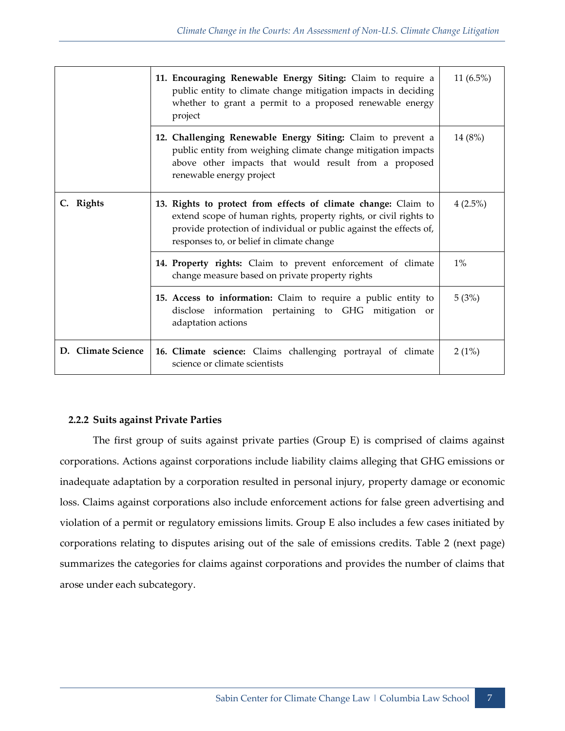|                    | 11. Encouraging Renewable Energy Siting: Claim to require a<br>public entity to climate change mitigation impacts in deciding<br>whether to grant a permit to a proposed renewable energy<br>project                                                   | 11 $(6.5\%)$ |
|--------------------|--------------------------------------------------------------------------------------------------------------------------------------------------------------------------------------------------------------------------------------------------------|--------------|
|                    | 12. Challenging Renewable Energy Siting: Claim to prevent a<br>public entity from weighing climate change mitigation impacts<br>above other impacts that would result from a proposed<br>renewable energy project                                      | 14 (8%)      |
| C. Rights          | 13. Rights to protect from effects of climate change: Claim to<br>extend scope of human rights, property rights, or civil rights to<br>provide protection of individual or public against the effects of,<br>responses to, or belief in climate change | $4(2.5\%)$   |
|                    | 14. Property rights: Claim to prevent enforcement of climate<br>change measure based on private property rights                                                                                                                                        | $1\%$        |
|                    | 15. Access to information: Claim to require a public entity to<br>disclose information pertaining to GHG mitigation or<br>adaptation actions                                                                                                           | 5(3%)        |
| D. Climate Science | 16. Climate science: Claims challenging portrayal of climate<br>science or climate scientists                                                                                                                                                          | 2(1%)        |

#### <span id="page-18-0"></span>**2.2.2 Suits against Private Parties**

The first group of suits against private parties (Group E) is comprised of claims against corporations. Actions against corporations include liability claims alleging that GHG emissions or inadequate adaptation by a corporation resulted in personal injury, property damage or economic loss. Claims against corporations also include enforcement actions for false green advertising and violation of a permit or regulatory emissions limits. Group E also includes a few cases initiated by corporations relating to disputes arising out of the sale of emissions credits. Table 2 (next page) summarizes the categories for claims against corporations and provides the number of claims that arose under each subcategory.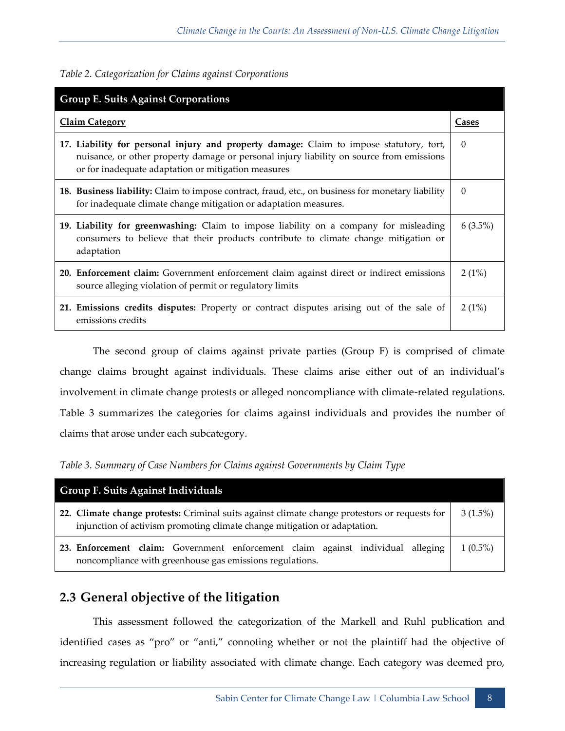|  |  | Table 2. Categorization for Claims against Corporations |
|--|--|---------------------------------------------------------|
|  |  |                                                         |

| <b>Group E. Suits Against Corporations</b>                                                                                                                                                                                                 |            |  |  |  |
|--------------------------------------------------------------------------------------------------------------------------------------------------------------------------------------------------------------------------------------------|------------|--|--|--|
| <b>Claim Category</b>                                                                                                                                                                                                                      |            |  |  |  |
| 17. Liability for personal injury and property damage: Claim to impose statutory, tort,<br>nuisance, or other property damage or personal injury liability on source from emissions<br>or for inadequate adaptation or mitigation measures | $\Omega$   |  |  |  |
| 18. Business liability: Claim to impose contract, fraud, etc., on business for monetary liability<br>for inadequate climate change mitigation or adaptation measures.                                                                      | $\Omega$   |  |  |  |
| 19. Liability for greenwashing: Claim to impose liability on a company for misleading<br>consumers to believe that their products contribute to climate change mitigation or<br>adaptation                                                 | $6(3.5\%)$ |  |  |  |
| 20. Enforcement claim: Government enforcement claim against direct or indirect emissions<br>source alleging violation of permit or regulatory limits                                                                                       | 2(1%)      |  |  |  |
| 21. Emissions credits disputes: Property or contract disputes arising out of the sale of<br>emissions credits                                                                                                                              | 2(1%)      |  |  |  |

The second group of claims against private parties (Group F) is comprised of climate change claims brought against individuals. These claims arise either out of an individual's involvement in climate change protests or alleged noncompliance with climate-related regulations. Table 3 summarizes the categories for claims against individuals and provides the number of claims that arose under each subcategory.

*Table 3. Summary of Case Numbers for Claims against Governments by Claim Type*

| <b>Group F. Suits Against Individuals</b>                                                                                                                                  |            |  |  |  |  |  |
|----------------------------------------------------------------------------------------------------------------------------------------------------------------------------|------------|--|--|--|--|--|
| 22. Climate change protests: Criminal suits against climate change protestors or requests for<br>injunction of activism promoting climate change mitigation or adaptation. |            |  |  |  |  |  |
| 23. Enforcement claim: Government enforcement claim against individual alleging<br>noncompliance with greenhouse gas emissions regulations.                                | $1(0.5\%)$ |  |  |  |  |  |

## <span id="page-19-0"></span>**2.3 General objective of the litigation**

This assessment followed the categorization of the Markell and Ruhl publication and identified cases as "pro" or "anti," connoting whether or not the plaintiff had the objective of increasing regulation or liability associated with climate change. Each category was deemed pro,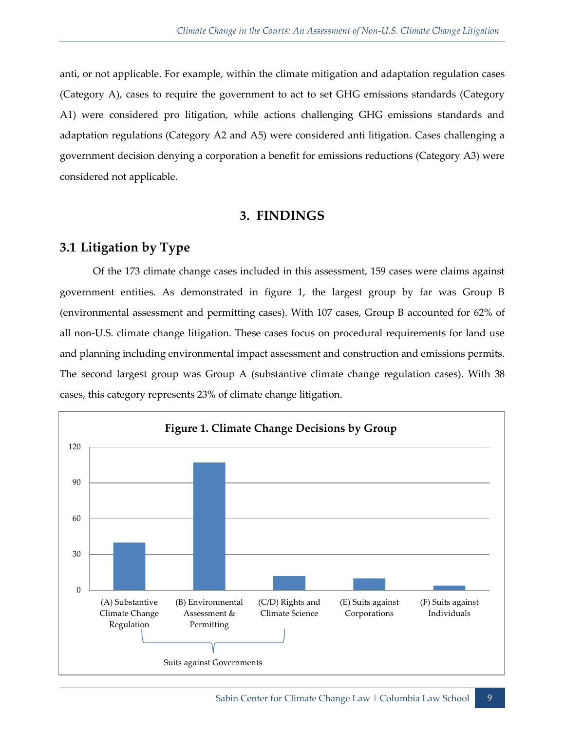anti, or not applicable. For example, within the climate mitigation and adaptation regulation cases (Category A), cases to require the government to act to set GHG emissions standards (Category A1) were considered pro litigation, while actions challenging GHG emissions standards and adaptation regulations (Category A2 and A5) were considered anti litigation. Cases challenging a government decision denying a corporation a benefit for emissions reductions (Category A3) were considered not applicable.

#### **3. FINDINGS**

## <span id="page-20-1"></span><span id="page-20-0"></span>**3.1 Litigation by Type**

Of the 173 climate change cases included in this assessment, 159 cases were claims against government entities. As demonstrated in figure 1, the largest group by far was Group B (environmental assessment and permitting cases). With 107 cases, Group B accounted for 62% of all non-U.S. climate change litigation. These cases focus on procedural requirements for land use and planning including environmental impact assessment and construction and emissions permits. The second largest group was Group A (substantive climate change regulation cases). With 38 cases, this category represents 23% of climate change litigation.

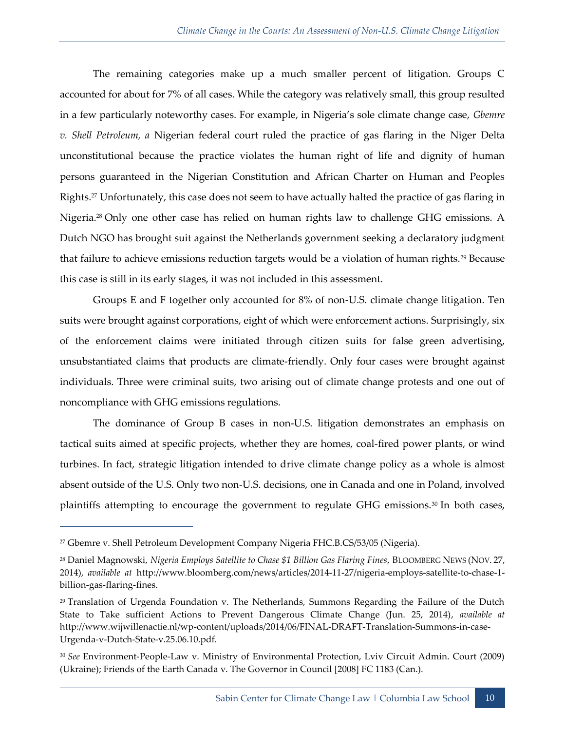The remaining categories make up a much smaller percent of litigation. Groups C accounted for about for 7% of all cases. While the category was relatively small, this group resulted in a few particularly noteworthy cases. For example, in Nigeria's sole climate change case, *Gbemre v. Shell Petroleum, a* Nigerian federal court ruled the practice of gas flaring in the Niger Delta unconstitutional because the practice violates the human right of life and dignity of human persons guaranteed in the Nigerian Constitution and African Charter on Human and Peoples Rights.<sup>27</sup> Unfortunately, this case does not seem to have actually halted the practice of gas flaring in Nigeria.<sup>28</sup> Only one other case has relied on human rights law to challenge GHG emissions. A Dutch NGO has brought suit against the Netherlands government seeking a declaratory judgment that failure to achieve emissions reduction targets would be a violation of human rights.<sup>29</sup> Because this case is still in its early stages, it was not included in this assessment.

Groups E and F together only accounted for 8% of non-U.S. climate change litigation. Ten suits were brought against corporations, eight of which were enforcement actions. Surprisingly, six of the enforcement claims were initiated through citizen suits for false green advertising, unsubstantiated claims that products are climate-friendly. Only four cases were brought against individuals. Three were criminal suits, two arising out of climate change protests and one out of noncompliance with GHG emissions regulations.

The dominance of Group B cases in non-U.S. litigation demonstrates an emphasis on tactical suits aimed at specific projects, whether they are homes, coal-fired power plants, or wind turbines. In fact, strategic litigation intended to drive climate change policy as a whole is almost absent outside of the U.S. Only two non-U.S. decisions, one in Canada and one in Poland, involved plaintiffs attempting to encourage the government to regulate GHG emissions.<sup>30</sup> In both cases,

<sup>27</sup> Gbemre v. Shell Petroleum Development Company Nigeria FHC.B.CS/53/05 (Nigeria).

<sup>28</sup> Daniel Magnowski, *Nigeria Employs Satellite to Chase \$1 Billion Gas Flaring Fines*, BLOOMBERG NEWS (NOV. 27, 2014), *available at* http://www.bloomberg.com/news/articles/2014-11-27/nigeria-employs-satellite-to-chase-1 billion-gas-flaring-fines.

<sup>29</sup> Translation of Urgenda Foundation v. The Netherlands, Summons Regarding the Failure of the Dutch State to Take sufficient Actions to Prevent Dangerous Climate Change (Jun. 25, 2014), *available at*  http://www.wijwillenactie.nl/wp-content/uploads/2014/06/FINAL-DRAFT-Translation-Summons-in-case-Urgenda-v-Dutch-State-v.25.06.10.pdf.

<sup>30</sup> *See* Environment-People-Law v. Ministry of Environmental Protection, Lviv Circuit Admin. Court (2009) (Ukraine); Friends of the Earth Canada v. The Governor in Council [2008] FC 1183 (Can.).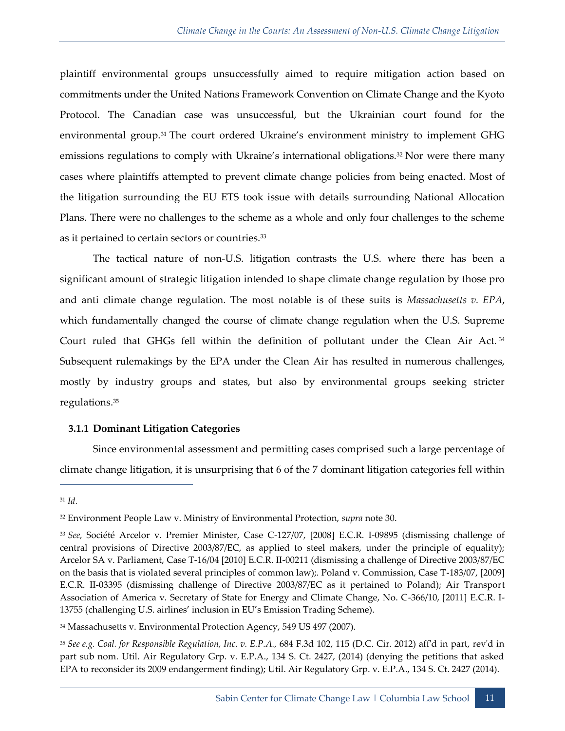plaintiff environmental groups unsuccessfully aimed to require mitigation action based on commitments under the United Nations Framework Convention on Climate Change and the Kyoto Protocol. The Canadian case was unsuccessful, but the Ukrainian court found for the environmental group.<sup>31</sup> The court ordered Ukraine's environment ministry to implement GHG emissions regulations to comply with Ukraine's international obligations.<sup>32</sup> Nor were there many cases where plaintiffs attempted to prevent climate change policies from being enacted. Most of the litigation surrounding the EU ETS took issue with details surrounding National Allocation Plans. There were no challenges to the scheme as a whole and only four challenges to the scheme as it pertained to certain sectors or countries.<sup>33</sup>

The tactical nature of non-U.S. litigation contrasts the U.S. where there has been a significant amount of strategic litigation intended to shape climate change regulation by those pro and anti climate change regulation. The most notable is of these suits is *Massachusetts v. EPA*, which fundamentally changed the course of climate change regulation when the U.S. Supreme Court ruled that GHGs fell within the definition of pollutant under the Clean Air Act.<sup>34</sup> Subsequent rulemakings by the EPA under the Clean Air has resulted in numerous challenges, mostly by industry groups and states, but also by environmental groups seeking stricter regulations.<sup>35</sup>

#### <span id="page-22-0"></span>**3.1.1 Dominant Litigation Categories**

Since environmental assessment and permitting cases comprised such a large percentage of climate change litigation, it is unsurprising that 6 of the 7 dominant litigation categories fell within

<sup>31</sup> *Id.*

<sup>32</sup> Environment People Law v. Ministry of Environmental Protection, *supra* note 30.

<sup>33</sup> *See,* Société Arcelor v. Premier Minister, Case C-127/07, [2008] E.C.R. I-09895 (dismissing challenge of central provisions of Directive 2003/87/EC, as applied to steel makers, under the principle of equality); Arcelor SA v. Parliament, Case T-16/04 [2010] E.C.R. II-00211 (dismissing a challenge of Directive 2003/87/EC on the basis that is violated several principles of common law);. Poland v. Commission, Case T-183/07, [2009] E.C.R. II-03395 (dismissing challenge of Directive 2003/87/EC as it pertained to Poland); Air Transport Association of America v. Secretary of State for Energy and Climate Change, No. C-366/10, [2011] E.C.R. I-13755 (challenging U.S. airlines' inclusion in EU's Emission Trading Scheme).

<sup>34</sup> Massachusetts v. Environmental Protection Agency, 549 US 497 (2007).

<sup>35</sup> *See e.g. Coal. for Responsible Regulation, Inc. v. E.P.A.,* 684 F.3d 102, 115 (D.C. Cir. 2012) aff'd in part, rev'd in part sub nom. Util. Air Regulatory Grp. v. E.P.A., 134 S. Ct. 2427, (2014) (denying the petitions that asked EPA to reconsider its 2009 endangerment finding); Util. Air Regulatory Grp. v. E.P.A., 134 S. Ct. 2427 (2014).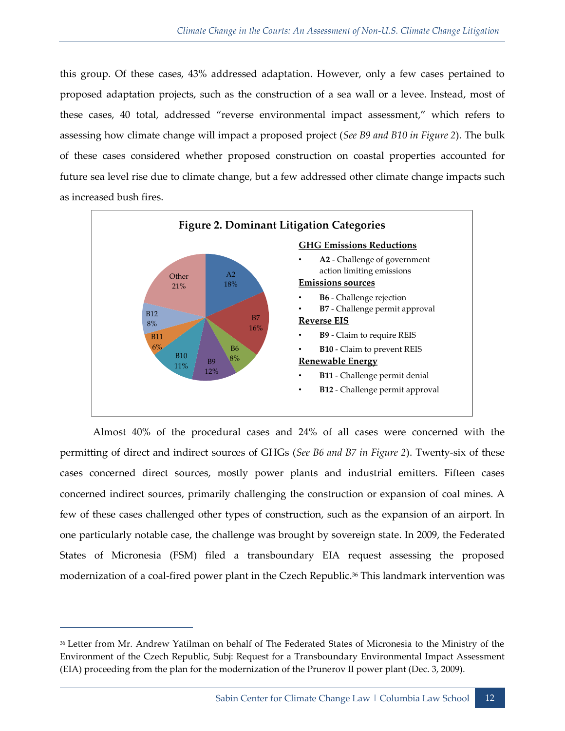this group. Of these cases, 43% addressed adaptation. However, only a few cases pertained to proposed adaptation projects, such as the construction of a sea wall or a levee. Instead, most of these cases, 40 total, addressed "reverse environmental impact assessment," which refers to assessing how climate change will impact a proposed project (*See B9 and B10 in Figure 2*). The bulk of these cases considered whether proposed construction on coastal properties accounted for future sea level rise due to climate change, but a few addressed other climate change impacts such as increased bush fires.



Almost 40% of the procedural cases and 24% of all cases were concerned with the permitting of direct and indirect sources of GHGs (*See B6 and B7 in Figure 2*). Twenty-six of these cases concerned direct sources, mostly power plants and industrial emitters. Fifteen cases concerned indirect sources, primarily challenging the construction or expansion of coal mines. A few of these cases challenged other types of construction, such as the expansion of an airport. In one particularly notable case, the challenge was brought by sovereign state. In 2009, the Federated States of Micronesia (FSM) filed a transboundary EIA request assessing the proposed modernization of a coal-fired power plant in the Czech Republic.<sup>36</sup> This landmark intervention was

<sup>36</sup> Letter from Mr. Andrew Yatilman on behalf of The Federated States of Micronesia to the Ministry of the Environment of the Czech Republic, Subj: Request for a Transboundary Environmental Impact Assessment (EIA) proceeding from the plan for the modernization of the Prunerov II power plant (Dec. 3, 2009).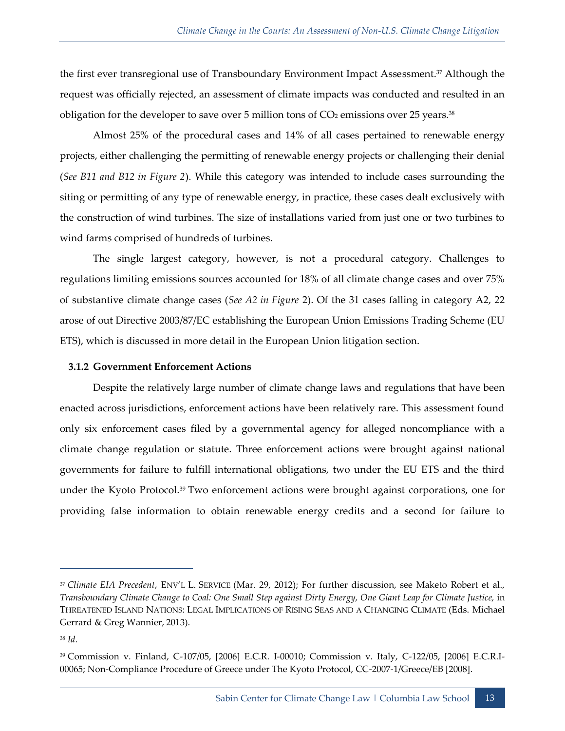the first ever transregional use of Transboundary Environment Impact Assessment.<sup>37</sup> Although the request was officially rejected, an assessment of climate impacts was conducted and resulted in an obligation for the developer to save over 5 million tons of  $CO<sub>2</sub>$  emissions over 25 years.<sup>38</sup>

Almost 25% of the procedural cases and 14% of all cases pertained to renewable energy projects, either challenging the permitting of renewable energy projects or challenging their denial (*See B11 and B12 in Figure 2*). While this category was intended to include cases surrounding the siting or permitting of any type of renewable energy, in practice, these cases dealt exclusively with the construction of wind turbines. The size of installations varied from just one or two turbines to wind farms comprised of hundreds of turbines.

The single largest category, however, is not a procedural category. Challenges to regulations limiting emissions sources accounted for 18% of all climate change cases and over 75% of substantive climate change cases (*See A2 in Figure* 2). Of the 31 cases falling in category A2, 22 arose of out Directive 2003/87/EC establishing the European Union Emissions Trading Scheme (EU ETS), which is discussed in more detail in the European Union litigation section.

#### <span id="page-24-0"></span>**3.1.2 Government Enforcement Actions**

Despite the relatively large number of climate change laws and regulations that have been enacted across jurisdictions, enforcement actions have been relatively rare. This assessment found only six enforcement cases filed by a governmental agency for alleged noncompliance with a climate change regulation or statute. Three enforcement actions were brought against national governments for failure to fulfill international obligations, two under the EU ETS and the third under the Kyoto Protocol.<sup>39</sup> Two enforcement actions were brought against corporations, one for providing false information to obtain renewable energy credits and a second for failure to

<sup>37</sup> *Climate EIA Precedent*, ENV'L L. SERVICE (Mar. 29, 2012); For further discussion, see Maketo Robert et al., *Transboundary Climate Change to Coal: One Small Step against Dirty Energy, One Giant Leap for Climate Justice,* in THREATENED ISLAND NATIONS: LEGAL IMPLICATIONS OF RISING SEAS AND A CHANGING CLIMATE (Eds. Michael Gerrard & Greg Wannier, 2013).

<sup>38</sup> *Id.*

<sup>39</sup> Commission v. Finland, C-107/05, [2006] E.C.R. I-00010; Commission v. Italy, C-122/05, [2006] E.C.R.I-00065; Non-Compliance Procedure of Greece under The Kyoto Protocol, CC-2007-1/Greece/EB [2008].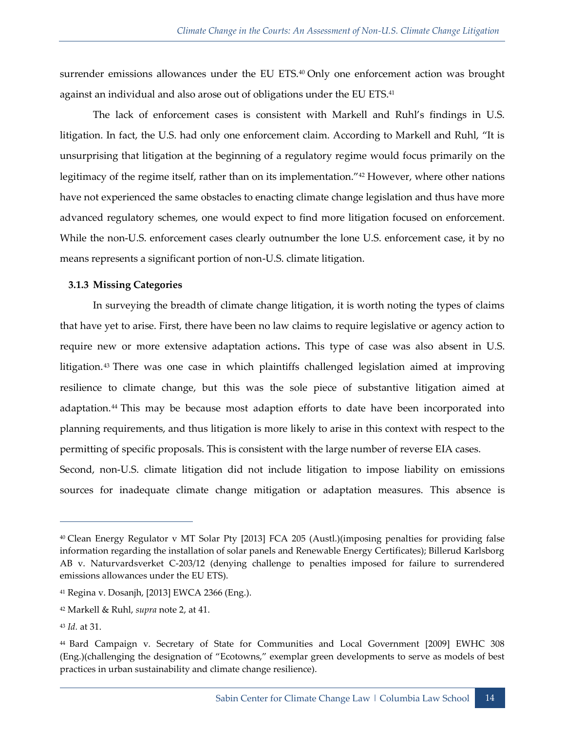surrender emissions allowances under the EU ETS.<sup>40</sup> Only one enforcement action was brought against an individual and also arose out of obligations under the EU ETS.<sup>41</sup>

The lack of enforcement cases is consistent with Markell and Ruhl's findings in U.S. litigation. In fact, the U.S. had only one enforcement claim. According to Markell and Ruhl, "It is unsurprising that litigation at the beginning of a regulatory regime would focus primarily on the legitimacy of the regime itself, rather than on its implementation."<sup>42</sup> However, where other nations have not experienced the same obstacles to enacting climate change legislation and thus have more advanced regulatory schemes, one would expect to find more litigation focused on enforcement. While the non-U.S. enforcement cases clearly outnumber the lone U.S. enforcement case, it by no means represents a significant portion of non-U.S. climate litigation.

#### <span id="page-25-0"></span>**3.1.3 Missing Categories**

In surveying the breadth of climate change litigation, it is worth noting the types of claims that have yet to arise. First, there have been no law claims to require legislative or agency action to require new or more extensive adaptation actions**.** This type of case was also absent in U.S. litigation.<sup>43</sup> There was one case in which plaintiffs challenged legislation aimed at improving resilience to climate change, but this was the sole piece of substantive litigation aimed at adaptation.<sup>44</sup> This may be because most adaption efforts to date have been incorporated into planning requirements, and thus litigation is more likely to arise in this context with respect to the permitting of specific proposals. This is consistent with the large number of reverse EIA cases. Second, non-U.S. climate litigation did not include litigation to impose liability on emissions

sources for inadequate climate change mitigation or adaptation measures. This absence is

<sup>40</sup> Clean Energy Regulator v MT Solar Pty [2013] FCA 205 (Austl.)(imposing penalties for providing false information regarding the installation of solar panels and Renewable Energy Certificates); Billerud Karlsborg AB v. Naturvardsverket C-203/12 (denying challenge to penalties imposed for failure to surrendered emissions allowances under the EU ETS).

<sup>41</sup> Regina v. Dosanjh, [2013] EWCA 2366 (Eng.).

<sup>42</sup> Markell & Ruhl, *supra* note 2, at 41.

<sup>43</sup> *Id.* at 31.

<sup>44</sup> Bard Campaign v. Secretary of State for Communities and Local Government [2009] EWHC 308 (Eng.)(challenging the designation of "Ecotowns," exemplar green developments to serve as models of best practices in urban sustainability and climate change resilience).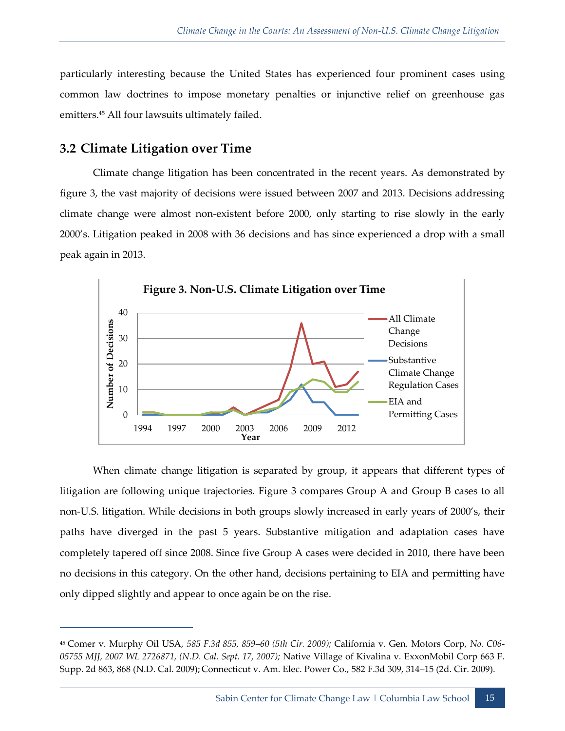particularly interesting because the United States has experienced four prominent cases using common law doctrines to impose monetary penalties or injunctive relief on greenhouse gas emitters.<sup>45</sup> All four lawsuits ultimately failed.

## <span id="page-26-0"></span>**3.2 Climate Litigation over Time**

 $\overline{a}$ 

Climate change litigation has been concentrated in the recent years. As demonstrated by figure 3, the vast majority of decisions were issued between 2007 and 2013. Decisions addressing climate change were almost non-existent before 2000, only starting to rise slowly in the early 2000's. Litigation peaked in 2008 with 36 decisions and has since experienced a drop with a small peak again in 2013.



When climate change litigation is separated by group, it appears that different types of litigation are following unique trajectories. Figure 3 compares Group A and Group B cases to all non-U.S. litigation. While decisions in both groups slowly increased in early years of 2000's, their paths have diverged in the past 5 years. Substantive mitigation and adaptation cases have completely tapered off since 2008. Since five Group A cases were decided in 2010, there have been no decisions in this category. On the other hand, decisions pertaining to EIA and permitting have only dipped slightly and appear to once again be on the rise.

<sup>45</sup> Comer v. Murphy Oil USA, *585 F.3d 855, 859–60 (5th Cir. 2009);* California v. Gen. Motors Corp, *No. C06- 05755 MJJ, 2007 WL 2726871, (N.D. Cal. Sept. 17, 2007);* Native Village of Kivalina v. ExxonMobil Corp 663 F. Supp. 2d 863, 868 (N.D. Cal. 2009); Connecticut v. Am. Elec. Power Co., 582 F.3d 309, 314–15 (2d. Cir. 2009).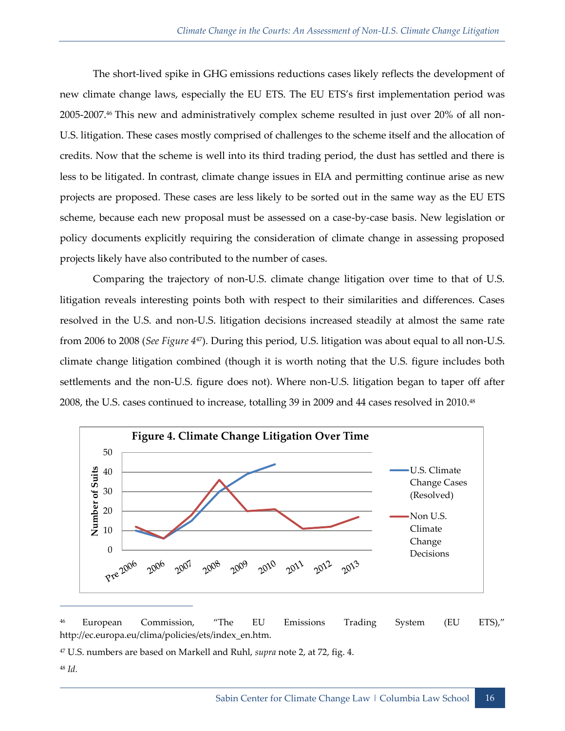The short-lived spike in GHG emissions reductions cases likely reflects the development of new climate change laws, especially the EU ETS. The EU ETS's first implementation period was 2005-2007.<sup>46</sup> This new and administratively complex scheme resulted in just over 20% of all non-U.S. litigation. These cases mostly comprised of challenges to the scheme itself and the allocation of credits. Now that the scheme is well into its third trading period, the dust has settled and there is less to be litigated. In contrast, climate change issues in EIA and permitting continue arise as new projects are proposed. These cases are less likely to be sorted out in the same way as the EU ETS scheme, because each new proposal must be assessed on a case-by-case basis. New legislation or policy documents explicitly requiring the consideration of climate change in assessing proposed projects likely have also contributed to the number of cases.

Comparing the trajectory of non-U.S. climate change litigation over time to that of U.S. litigation reveals interesting points both with respect to their similarities and differences. Cases resolved in the U.S. and non-U.S. litigation decisions increased steadily at almost the same rate from 2006 to 2008 (*See Figure 4*47). During this period, U.S. litigation was about equal to all non-U.S. climate change litigation combined (though it is worth noting that the U.S. figure includes both settlements and the non-U.S. figure does not). Where non-U.S. litigation began to taper off after 2008, the U.S. cases continued to increase, totalling 39 in 2009 and 44 cases resolved in 2010.<sup>48</sup>



<sup>46</sup> European Commission, "The EU Emissions Trading System (EU ETS)," http://ec.europa.eu/clima/policies/ets/index\_en.htm.

<sup>48</sup> *Id.*

<sup>47</sup> U.S. numbers are based on Markell and Ruhl, *supra* note 2, at 72, fig. 4.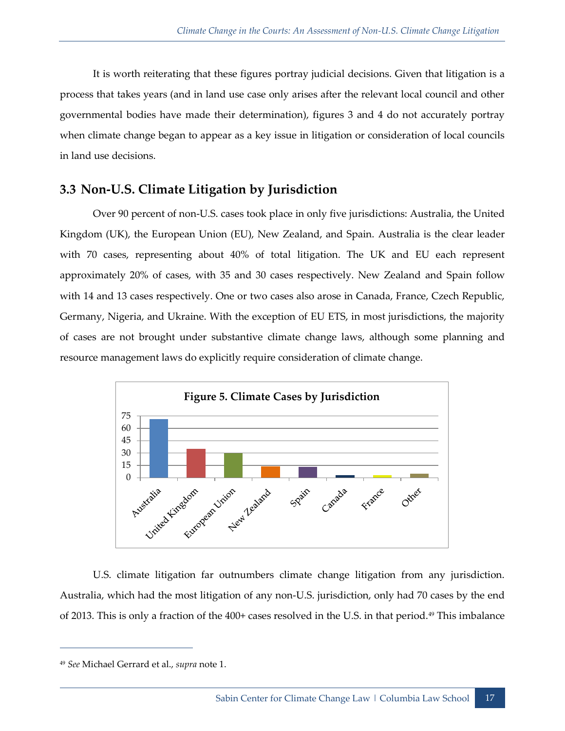It is worth reiterating that these figures portray judicial decisions. Given that litigation is a process that takes years (and in land use case only arises after the relevant local council and other governmental bodies have made their determination), figures 3 and 4 do not accurately portray when climate change began to appear as a key issue in litigation or consideration of local councils in land use decisions.

## <span id="page-28-0"></span>**3.3 Non-U.S. Climate Litigation by Jurisdiction**

Over 90 percent of non-U.S. cases took place in only five jurisdictions: Australia, the United Kingdom (UK), the European Union (EU), New Zealand, and Spain. Australia is the clear leader with 70 cases, representing about 40% of total litigation. The UK and EU each represent approximately 20% of cases, with 35 and 30 cases respectively. New Zealand and Spain follow with 14 and 13 cases respectively. One or two cases also arose in Canada, France, Czech Republic, Germany, Nigeria, and Ukraine. With the exception of EU ETS, in most jurisdictions, the majority of cases are not brought under substantive climate change laws, although some planning and resource management laws do explicitly require consideration of climate change.



U.S. climate litigation far outnumbers climate change litigation from any jurisdiction. Australia, which had the most litigation of any non-U.S. jurisdiction, only had 70 cases by the end of 2013. This is only a fraction of the 400+ cases resolved in the U.S. in that period.<sup>49</sup> This imbalance

<sup>49</sup> *See* Michael Gerrard et al., *supra* note 1.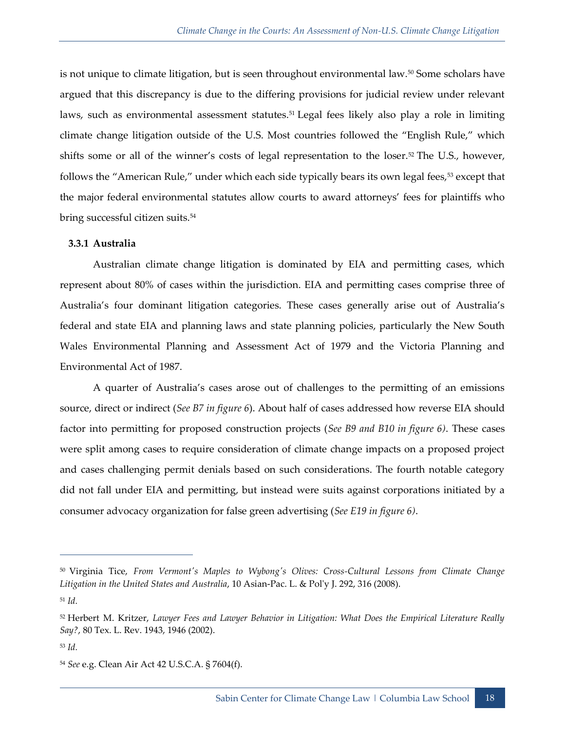is not unique to climate litigation, but is seen throughout environmental law.<sup>50</sup> Some scholars have argued that this discrepancy is due to the differing provisions for judicial review under relevant laws, such as environmental assessment statutes.<sup>51</sup> Legal fees likely also play a role in limiting climate change litigation outside of the U.S. Most countries followed the "English Rule," which shifts some or all of the winner's costs of legal representation to the loser.<sup>52</sup> The U.S., however, follows the "American Rule," under which each side typically bears its own legal fees,<sup>53</sup> except that the major federal environmental statutes allow courts to award attorneys' fees for plaintiffs who bring successful citizen suits.<sup>54</sup>

#### <span id="page-29-0"></span>**3.3.1 Australia**

Australian climate change litigation is dominated by EIA and permitting cases, which represent about 80% of cases within the jurisdiction. EIA and permitting cases comprise three of Australia's four dominant litigation categories. These cases generally arise out of Australia's federal and state EIA and planning laws and state planning policies, particularly the New South Wales Environmental Planning and Assessment Act of 1979 and the Victoria Planning and Environmental Act of 1987.

A quarter of Australia's cases arose out of challenges to the permitting of an emissions source, direct or indirect (*See B7 in figure 6*). About half of cases addressed how reverse EIA should factor into permitting for proposed construction projects (*See B9 and B10 in figure 6)*. These cases were split among cases to require consideration of climate change impacts on a proposed project and cases challenging permit denials based on such considerations. The fourth notable category did not fall under EIA and permitting, but instead were suits against corporations initiated by a consumer advocacy organization for false green advertising (*See E19 in figure 6)*.

<sup>50</sup> Virginia Tice, *From Vermont's Maples to Wybong's Olives: Cross-Cultural Lessons from Climate Change Litigation in the United States and Australia*, 10 Asian-Pac. L. & Pol'y J. 292, 316 (2008). <sup>51</sup> *Id.* 

<sup>52</sup> Herbert M. Kritzer, *Lawyer Fees and Lawyer Behavior in Litigation: What Does the Empirical Literature Really Say?*, 80 Tex. L. Rev. 1943, 1946 (2002).

<sup>53</sup> *Id.*

<sup>54</sup> *See* e.g. Clean Air Act 42 U.S.C.A. § 7604(f).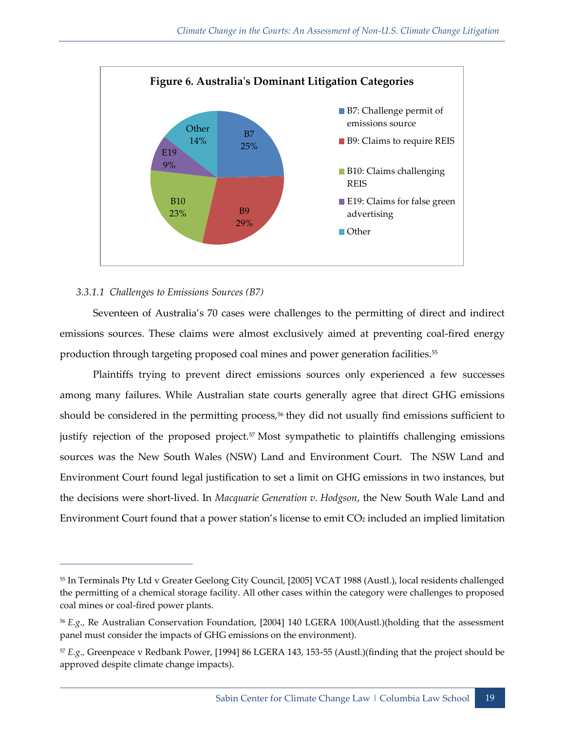

#### *3.3.1.1 Challenges to Emissions Sources (B7)*

 $\overline{a}$ 

Seventeen of Australia's 70 cases were challenges to the permitting of direct and indirect emissions sources. These claims were almost exclusively aimed at preventing coal-fired energy production through targeting proposed coal mines and power generation facilities.<sup>55</sup>

Plaintiffs trying to prevent direct emissions sources only experienced a few successes among many failures. While Australian state courts generally agree that direct GHG emissions should be considered in the permitting process,<sup>56</sup> they did not usually find emissions sufficient to justify rejection of the proposed project.<sup>57</sup> Most sympathetic to plaintiffs challenging emissions sources was the New South Wales (NSW) Land and Environment Court. The NSW Land and Environment Court found legal justification to set a limit on GHG emissions in two instances, but the decisions were short-lived. In *Macquarie Generation v. Hodgson*, the New South Wale Land and Environment Court found that a power station's license to emit CO<sup>2</sup> included an implied limitation

<sup>55</sup> In Terminals Pty Ltd v Greater Geelong City Council, [2005] VCAT 1988 (Austl.), local residents challenged the permitting of a chemical storage facility. All other cases within the category were challenges to proposed coal mines or coal-fired power plants.

<sup>56</sup> *E.g.,* Re Australian Conservation Foundation, [2004] 140 LGERA 100(Austl.)(holding that the assessment panel must consider the impacts of GHG emissions on the environment).

<sup>57</sup> *E.g.,* Greenpeace v Redbank Power, [1994] 86 LGERA 143, 153-55 (Austl.)(finding that the project should be approved despite climate change impacts).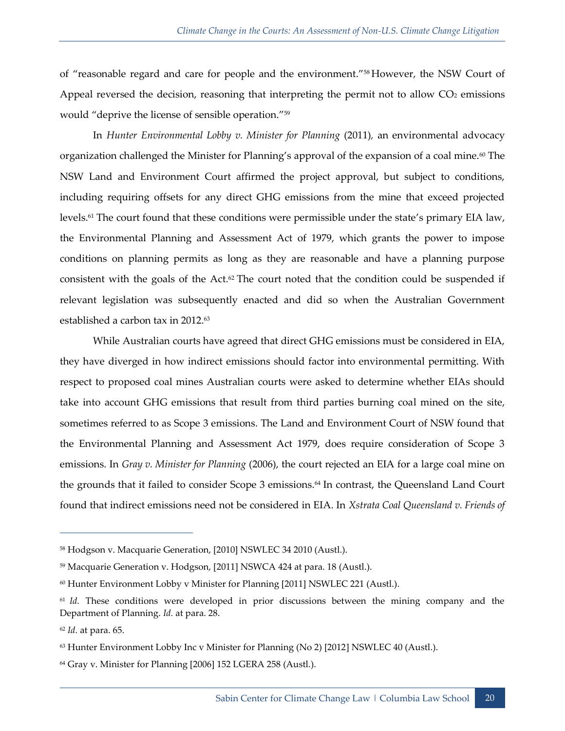of "reasonable regard and care for people and the environment."<sup>58</sup> However, the NSW Court of Appeal reversed the decision, reasoning that interpreting the permit not to allow  $CO<sub>2</sub>$  emissions would "deprive the license of sensible operation."<sup>59</sup>

In *Hunter Environmental Lobby v. Minister for Planning* (2011)*,* an environmental advocacy organization challenged the Minister for Planning's approval of the expansion of a coal mine.<sup>60</sup> The NSW Land and Environment Court affirmed the project approval, but subject to conditions, including requiring offsets for any direct GHG emissions from the mine that exceed projected levels.<sup>61</sup> The court found that these conditions were permissible under the state's primary EIA law, the Environmental Planning and Assessment Act of 1979, which grants the power to impose conditions on planning permits as long as they are reasonable and have a planning purpose consistent with the goals of the  $Act.^{62}$  The court noted that the condition could be suspended if relevant legislation was subsequently enacted and did so when the Australian Government established a carbon tax in 2012.<sup>63</sup>

While Australian courts have agreed that direct GHG emissions must be considered in EIA, they have diverged in how indirect emissions should factor into environmental permitting. With respect to proposed coal mines Australian courts were asked to determine whether EIAs should take into account GHG emissions that result from third parties burning coal mined on the site, sometimes referred to as Scope 3 emissions. The Land and Environment Court of NSW found that the Environmental Planning and Assessment Act 1979, does require consideration of Scope 3 emissions. In *Gray v. Minister for Planning* (2006), the court rejected an EIA for a large coal mine on the grounds that it failed to consider Scope 3 emissions.<sup>64</sup> In contrast, the Queensland Land Court found that indirect emissions need not be considered in EIA. In *Xstrata Coal Queensland v. Friends of* 

<sup>58</sup> Hodgson v. Macquarie Generation, [2010] NSWLEC 34 2010 (Austl.).

<sup>59</sup> Macquarie Generation v. Hodgson, [2011] NSWCA 424 at para. 18 (Austl.).

<sup>60</sup> Hunter Environment Lobby v Minister for Planning [2011] NSWLEC 221 (Austl.).

<sup>61</sup> *Id.* These conditions were developed in prior discussions between the mining company and the Department of Planning. *Id.* at para. 28.

<sup>62</sup> *Id.* at para. 65.

 $63$  Hunter Environment Lobby Inc v Minister for Planning (No 2) [2012] NSWLEC 40 (Austl.).

<sup>64</sup> Gray v. Minister for Planning [2006] 152 LGERA 258 (Austl.).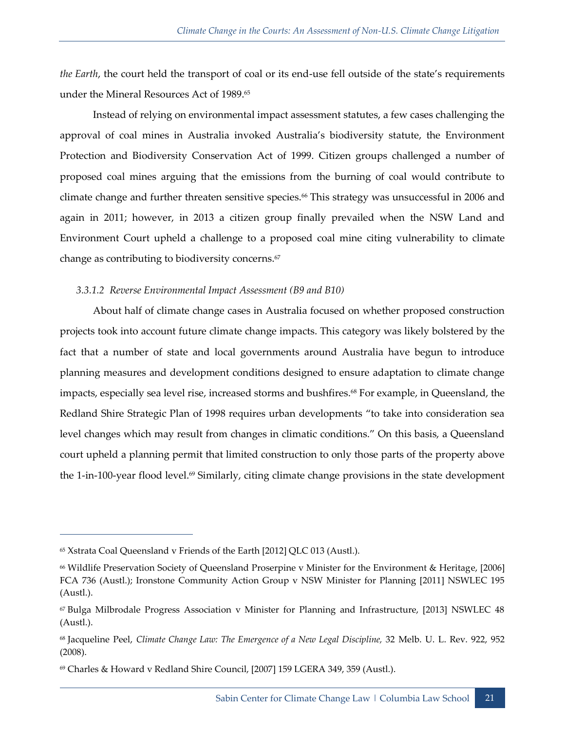*the Earth*, the court held the transport of coal or its end-use fell outside of the state's requirements under the Mineral Resources Act of 1989.<sup>65</sup>

Instead of relying on environmental impact assessment statutes, a few cases challenging the approval of coal mines in Australia invoked Australia's biodiversity statute, the Environment Protection and Biodiversity Conservation Act of 1999. Citizen groups challenged a number of proposed coal mines arguing that the emissions from the burning of coal would contribute to climate change and further threaten sensitive species.<sup>66</sup> This strategy was unsuccessful in 2006 and again in 2011; however, in 2013 a citizen group finally prevailed when the NSW Land and Environment Court upheld a challenge to a proposed coal mine citing vulnerability to climate change as contributing to biodiversity concerns.<sup>67</sup>

#### *3.3.1.2 Reverse Environmental Impact Assessment (B9 and B10)*

About half of climate change cases in Australia focused on whether proposed construction projects took into account future climate change impacts. This category was likely bolstered by the fact that a number of state and local governments around Australia have begun to introduce planning measures and development conditions designed to ensure adaptation to climate change impacts, especially sea level rise, increased storms and bushfires.<sup>68</sup> For example, in Queensland, the Redland Shire Strategic Plan of 1998 requires urban developments "to take into consideration sea level changes which may result from changes in climatic conditions." On this basis, a Queensland court upheld a planning permit that limited construction to only those parts of the property above the 1-in-100-year flood level.<sup>69</sup> Similarly, citing climate change provisions in the state development

<sup>65</sup> Xstrata Coal Queensland v Friends of the Earth [2012] QLC 013 (Austl.).

<sup>66</sup> Wildlife Preservation Society of Queensland Proserpine v Minister for the Environment & Heritage, [2006] FCA 736 (Austl.); Ironstone Community Action Group v NSW Minister for Planning [2011] NSWLEC 195 (Austl.).

<sup>67</sup> Bulga Milbrodale Progress Association v Minister for Planning and Infrastructure, [2013] NSWLEC 48 (Austl.).

<sup>68</sup> Jacqueline Peel, *Climate Change Law: The Emergence of a New Legal Discipline,* 32 Melb. U. L. Rev. 922, 952 (2008).

<sup>69</sup> Charles & Howard v Redland Shire Council, [2007] 159 LGERA 349, 359 (Austl.).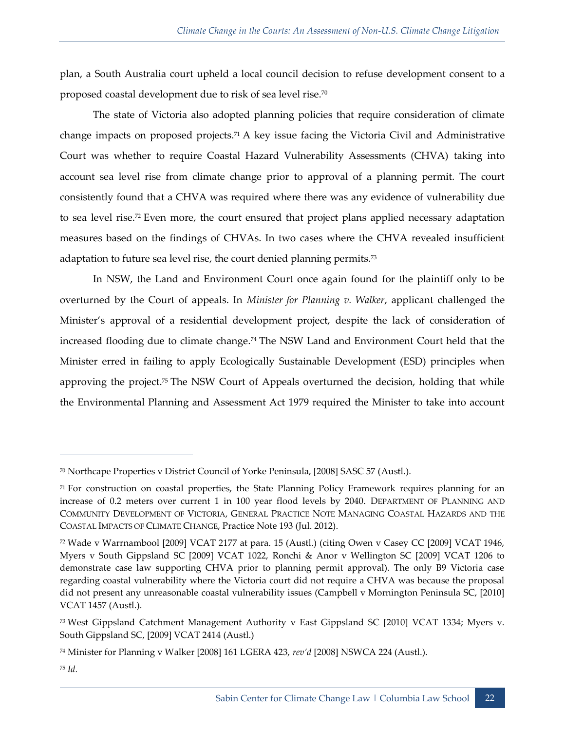plan, a South Australia court upheld a local council decision to refuse development consent to a proposed coastal development due to risk of sea level rise.<sup>70</sup>

The state of Victoria also adopted planning policies that require consideration of climate change impacts on proposed projects.<sup>71</sup> A key issue facing the Victoria Civil and Administrative Court was whether to require Coastal Hazard Vulnerability Assessments (CHVA) taking into account sea level rise from climate change prior to approval of a planning permit. The court consistently found that a CHVA was required where there was any evidence of vulnerability due to sea level rise.<sup>72</sup> Even more, the court ensured that project plans applied necessary adaptation measures based on the findings of CHVAs. In two cases where the CHVA revealed insufficient adaptation to future sea level rise, the court denied planning permits.<sup>73</sup>

In NSW, the Land and Environment Court once again found for the plaintiff only to be overturned by the Court of appeals. In *Minister for Planning v. Walker*, applicant challenged the Minister's approval of a residential development project, despite the lack of consideration of increased flooding due to climate change.<sup>74</sup> The NSW Land and Environment Court held that the Minister erred in failing to apply Ecologically Sustainable Development (ESD) principles when approving the project. <sup>75</sup> The NSW Court of Appeals overturned the decision, holding that while the Environmental Planning and Assessment Act 1979 required the Minister to take into account

<sup>70</sup> Northcape Properties v District Council of Yorke Peninsula, [2008] SASC 57 (Austl.).

<sup>71</sup> For construction on coastal properties, the State Planning Policy Framework requires planning for an increase of 0.2 meters over current 1 in 100 year flood levels by 2040. DEPARTMENT OF PLANNING AND COMMUNITY DEVELOPMENT OF VICTORIA, GENERAL PRACTICE NOTE MANAGING COASTAL HAZARDS AND THE COASTAL IMPACTS OF CLIMATE CHANGE, Practice Note 193 (Jul. 2012).

<sup>72</sup> Wade v Warrnambool [2009] VCAT 2177 at para. 15 (Austl.) (citing Owen v Casey CC [2009] VCAT 1946, Myers v South Gippsland SC [2009] VCAT 1022, Ronchi & Anor v Wellington SC [2009] VCAT 1206 to demonstrate case law supporting CHVA prior to planning permit approval). The only B9 Victoria case regarding coastal vulnerability where the Victoria court did not require a CHVA was because the proposal did not present any unreasonable coastal vulnerability issues (Campbell v Mornington Peninsula SC, [2010] VCAT 1457 (Austl.).

<sup>73</sup> West Gippsland Catchment Management Authority v East Gippsland SC [2010] VCAT 1334; Myers v. South Gippsland SC, [2009] VCAT 2414 (Austl.)

<sup>74</sup> Minister for Planning v Walker [2008] 161 LGERA 423, *rev'd* [2008] NSWCA 224 (Austl.).

<sup>75</sup> *Id.*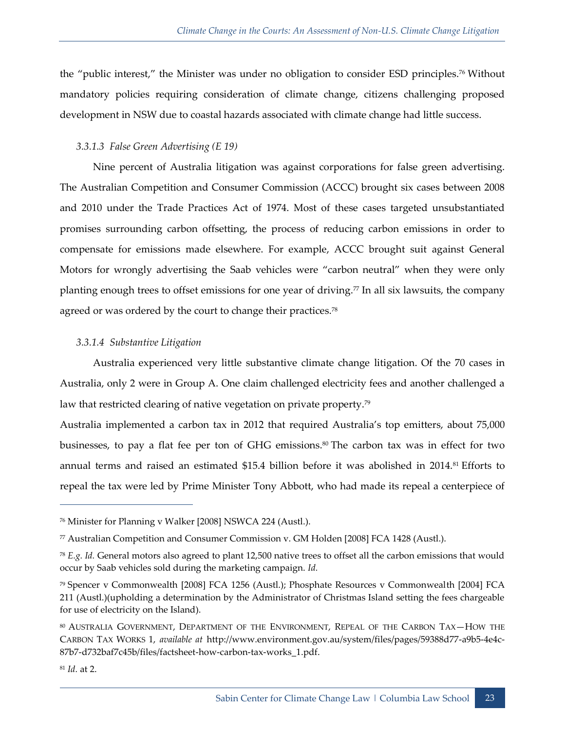the "public interest," the Minister was under no obligation to consider ESD principles.<sup>76</sup> Without mandatory policies requiring consideration of climate change, citizens challenging proposed development in NSW due to coastal hazards associated with climate change had little success.

#### *3.3.1.3 False Green Advertising (E 19)*

Nine percent of Australia litigation was against corporations for false green advertising. The Australian Competition and Consumer Commission (ACCC) brought six cases between 2008 and 2010 under the Trade Practices Act of 1974. Most of these cases targeted unsubstantiated promises surrounding carbon offsetting, the process of reducing carbon emissions in order to compensate for emissions made elsewhere. For example, ACCC brought suit against General Motors for wrongly advertising the Saab vehicles were "carbon neutral" when they were only planting enough trees to offset emissions for one year of driving.<sup>77</sup> In all six lawsuits, the company agreed or was ordered by the court to change their practices.<sup>78</sup>

#### *3.3.1.4 Substantive Litigation*

Australia experienced very little substantive climate change litigation. Of the 70 cases in Australia, only 2 were in Group A. One claim challenged electricity fees and another challenged a law that restricted clearing of native vegetation on private property.<sup>79</sup>

Australia implemented a carbon tax in 2012 that required Australia's top emitters, about 75,000 businesses, to pay a flat fee per ton of GHG emissions.<sup>80</sup> The carbon tax was in effect for two annual terms and raised an estimated \$15.4 billion before it was abolished in 2014.<sup>81</sup> Efforts to repeal the tax were led by Prime Minister Tony Abbott, who had made its repeal a centerpiece of

<sup>76</sup> Minister for Planning v Walker [2008] NSWCA 224 (Austl.).

<sup>77</sup> Australian Competition and Consumer Commission v. GM Holden [2008] FCA 1428 (Austl.).

<sup>78</sup> *E.g. Id.* General motors also agreed to plant 12,500 native trees to offset all the carbon emissions that would occur by Saab vehicles sold during the marketing campaign. *Id.*

<sup>79</sup> Spencer v Commonwealth [2008] FCA 1256 (Austl.); Phosphate Resources v Commonwealth [2004] FCA 211 (Austl.)(upholding a determination by the Administrator of Christmas Island setting the fees chargeable for use of electricity on the Island).

<sup>80</sup> AUSTRALIA GOVERNMENT, DEPARTMENT OF THE ENVIRONMENT, REPEAL OF THE CARBON TAX—HOW THE CARBON TAX WORKS 1, *available at* http://www.environment.gov.au/system/files/pages/59388d77-a9b5-4e4c-87b7-d732baf7c45b/files/factsheet-how-carbon-tax-works\_1.pdf.

<sup>81</sup> *Id.* at 2.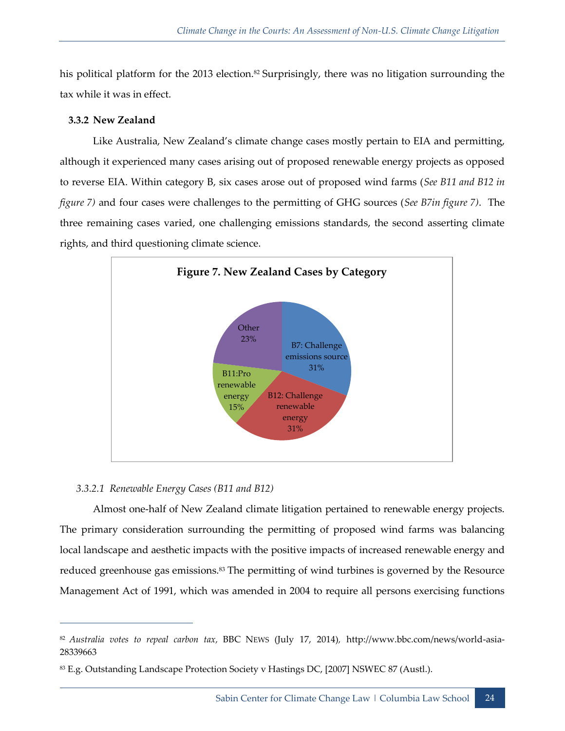his political platform for the 2013 election.<sup>82</sup> Surprisingly, there was no litigation surrounding the tax while it was in effect.

#### <span id="page-35-0"></span>**3.3.2 New Zealand**

Like Australia, New Zealand's climate change cases mostly pertain to EIA and permitting, although it experienced many cases arising out of proposed renewable energy projects as opposed to reverse EIA. Within category B, six cases arose out of proposed wind farms (*See B11 and B12 in figure 7)* and four cases were challenges to the permitting of GHG sources (*See B7in figure 7)*. The three remaining cases varied, one challenging emissions standards, the second asserting climate rights, and third questioning climate science.



#### *3.3.2.1 Renewable Energy Cases (B11 and B12)*

 $\overline{a}$ 

Almost one-half of New Zealand climate litigation pertained to renewable energy projects. The primary consideration surrounding the permitting of proposed wind farms was balancing local landscape and aesthetic impacts with the positive impacts of increased renewable energy and reduced greenhouse gas emissions.<sup>83</sup> The permitting of wind turbines is governed by the Resource Management Act of 1991, which was amended in 2004 to require all persons exercising functions

<sup>82</sup> *Australia votes to repeal carbon tax,* BBC NEWS (July 17, 2014)*,* http://www.bbc.com/news/world-asia-28339663

<sup>83</sup> E.g. Outstanding Landscape Protection Society v Hastings DC, [2007] NSWEC 87 (Austl.).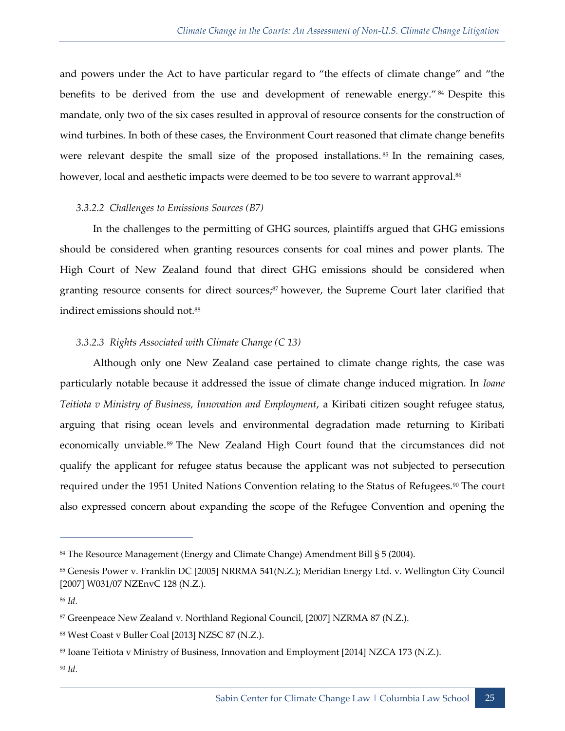and powers under the Act to have particular regard to "the effects of climate change" and "the benefits to be derived from the use and development of renewable energy." <sup>84</sup> Despite this mandate, only two of the six cases resulted in approval of resource consents for the construction of wind turbines. In both of these cases, the Environment Court reasoned that climate change benefits were relevant despite the small size of the proposed installations.<sup>85</sup> In the remaining cases, however, local and aesthetic impacts were deemed to be too severe to warrant approval.<sup>86</sup>

#### *3.3.2.2 Challenges to Emissions Sources (B7)*

In the challenges to the permitting of GHG sources, plaintiffs argued that GHG emissions should be considered when granting resources consents for coal mines and power plants. The High Court of New Zealand found that direct GHG emissions should be considered when granting resource consents for direct sources;<sup>87</sup> however, the Supreme Court later clarified that indirect emissions should not.<sup>88</sup>

#### *3.3.2.3 Rights Associated with Climate Change (C 13)*

Although only one New Zealand case pertained to climate change rights, the case was particularly notable because it addressed the issue of climate change induced migration. In *Ioane Teitiota v Ministry of Business, Innovation and Employment*, a Kiribati citizen sought refugee status, arguing that rising ocean levels and environmental degradation made returning to Kiribati economically unviable.<sup>89</sup> The New Zealand High Court found that the circumstances did not qualify the applicant for refugee status because the applicant was not subjected to persecution required under the 1951 United Nations Convention relating to the Status of Refugees.<sup>90</sup> The court also expressed concern about expanding the scope of the Refugee Convention and opening the

<sup>84</sup> The Resource Management (Energy and Climate Change) Amendment Bill § 5 (2004).

<sup>85</sup> Genesis Power v. Franklin DC [2005] NRRMA 541(N.Z.); Meridian Energy Ltd. v. Wellington City Council [2007] W031/07 NZEnvC 128 (N.Z.).

<sup>86</sup> *Id.*

<sup>87</sup> Greenpeace New Zealand v. Northland Regional Council, [2007] NZRMA 87 (N.Z.).

<sup>88</sup> West Coast v Buller Coal [2013] NZSC 87 (N.Z.).

<sup>89</sup> Ioane Teitiota v Ministry of Business, Innovation and Employment [2014] NZCA 173 (N.Z.).

<sup>90</sup> *Id.*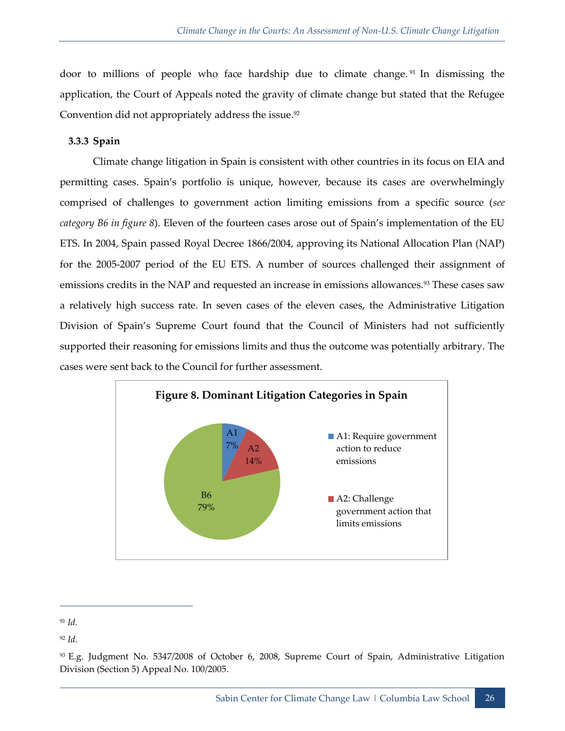door to millions of people who face hardship due to climate change. <sup>91</sup> In dismissing the application, the Court of Appeals noted the gravity of climate change but stated that the Refugee Convention did not appropriately address the issue.<sup>92</sup>

#### <span id="page-37-0"></span>**3.3.3 Spain**

Climate change litigation in Spain is consistent with other countries in its focus on EIA and permitting cases. Spain's portfolio is unique, however, because its cases are overwhelmingly comprised of challenges to government action limiting emissions from a specific source (*see category B6 in figure 8*). Eleven of the fourteen cases arose out of Spain's implementation of the EU ETS. In 2004, Spain passed Royal Decree 1866/2004, approving its National Allocation Plan (NAP) for the 2005-2007 period of the EU ETS. A number of sources challenged their assignment of emissions credits in the NAP and requested an increase in emissions allowances.<sup>93</sup> These cases saw a relatively high success rate. In seven cases of the eleven cases, the Administrative Litigation Division of Spain's Supreme Court found that the Council of Ministers had not sufficiently supported their reasoning for emissions limits and thus the outcome was potentially arbitrary. The cases were sent back to the Council for further assessment.



<sup>91</sup> *Id.* 

<sup>92</sup> *Id.*

<sup>93</sup> E.g. Judgment No. 5347/2008 of October 6, 2008, Supreme Court of Spain, Administrative Litigation Division (Section 5) Appeal No. 100/2005.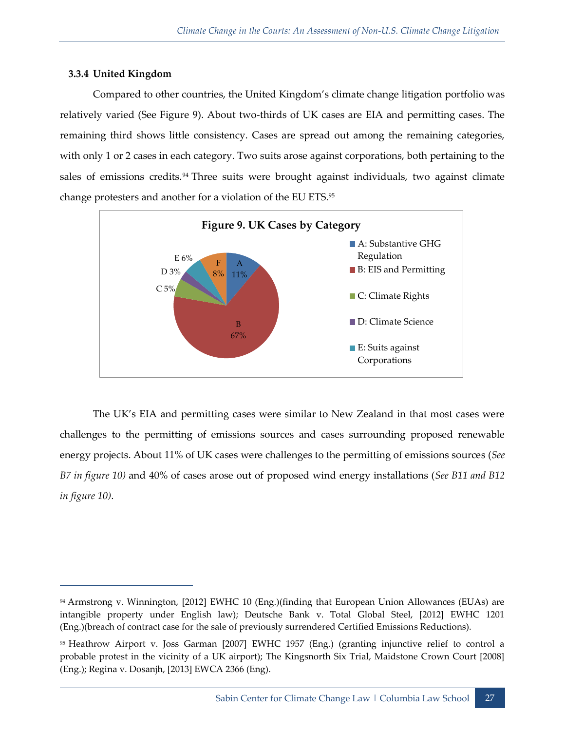#### <span id="page-38-0"></span>**3.3.4 United Kingdom**

 $\overline{a}$ 

Compared to other countries, the United Kingdom's climate change litigation portfolio was relatively varied (See Figure 9). About two-thirds of UK cases are EIA and permitting cases. The remaining third shows little consistency. Cases are spread out among the remaining categories, with only 1 or 2 cases in each category. Two suits arose against corporations, both pertaining to the sales of emissions credits.<sup>94</sup> Three suits were brought against individuals, two against climate change protesters and another for a violation of the EU ETS.<sup>95</sup>



The UK's EIA and permitting cases were similar to New Zealand in that most cases were challenges to the permitting of emissions sources and cases surrounding proposed renewable energy projects. About 11% of UK cases were challenges to the permitting of emissions sources (*See B7 in figure 10)* and 40% of cases arose out of proposed wind energy installations (*See B11 and B12 in figure 10)*.

<sup>94</sup> Armstrong v. Winnington, [2012] EWHC 10 (Eng.)(finding that European Union Allowances (EUAs) are intangible property under English law); Deutsche Bank v. Total Global Steel, [2012] EWHC 1201 (Eng.)(breach of contract case for the sale of previously surrendered Certified Emissions Reductions).

<sup>95</sup> Heathrow Airport v. Joss Garman [2007] EWHC 1957 (Eng.) (granting injunctive relief to control a probable protest in the vicinity of a UK airport); The Kingsnorth Six Trial, Maidstone Crown Court [2008] (Eng.); Regina v. Dosanjh, [2013] EWCA 2366 (Eng).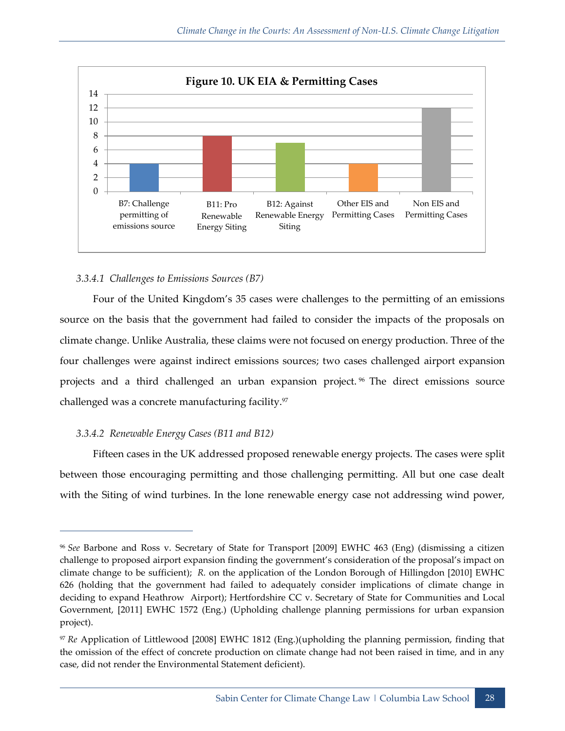

#### *3.3.4.1 Challenges to Emissions Sources (B7)*

Four of the United Kingdom's 35 cases were challenges to the permitting of an emissions source on the basis that the government had failed to consider the impacts of the proposals on climate change. Unlike Australia, these claims were not focused on energy production. Three of the four challenges were against indirect emissions sources; two cases challenged airport expansion projects and a third challenged an urban expansion project.<sup>96</sup> The direct emissions source challenged was a concrete manufacturing facility.<sup>97</sup>

#### *3.3.4.2 Renewable Energy Cases (B11 and B12)*

 $\overline{a}$ 

Fifteen cases in the UK addressed proposed renewable energy projects. The cases were split between those encouraging permitting and those challenging permitting. All but one case dealt with the Siting of wind turbines. In the lone renewable energy case not addressing wind power,

<sup>96</sup> *See* Barbone and Ross v. Secretary of State for Transport [2009] EWHC 463 (Eng) (dismissing a citizen challenge to proposed airport expansion finding the government's consideration of the proposal's impact on climate change to be sufficient); *R.* on the application of the London Borough of Hillingdon [2010] EWHC 626 (holding that the government had failed to adequately consider implications of climate change in deciding to expand Heathrow Airport); Hertfordshire CC v. Secretary of State for Communities and Local Government, [2011] EWHC 1572 (Eng.) (Upholding challenge planning permissions for urban expansion project).

<sup>97</sup> *Re* Application of Littlewood [2008] EWHC 1812 (Eng.)(upholding the planning permission, finding that the omission of the effect of concrete production on climate change had not been raised in time, and in any case, did not render the Environmental Statement deficient).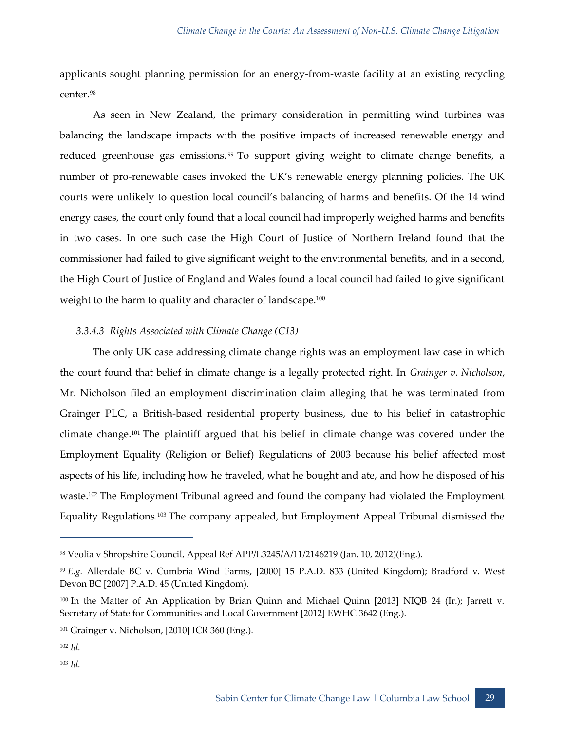applicants sought planning permission for an energy-from-waste facility at an existing recycling center.<sup>98</sup>

As seen in New Zealand, the primary consideration in permitting wind turbines was balancing the landscape impacts with the positive impacts of increased renewable energy and reduced greenhouse gas emissions.<sup>99</sup> To support giving weight to climate change benefits, a number of pro-renewable cases invoked the UK's renewable energy planning policies. The UK courts were unlikely to question local council's balancing of harms and benefits. Of the 14 wind energy cases, the court only found that a local council had improperly weighed harms and benefits in two cases. In one such case the High Court of Justice of Northern Ireland found that the commissioner had failed to give significant weight to the environmental benefits, and in a second, the High Court of Justice of England and Wales found a local council had failed to give significant weight to the harm to quality and character of landscape.<sup>100</sup>

#### *3.3.4.3 Rights Associated with Climate Change (C13)*

The only UK case addressing climate change rights was an employment law case in which the court found that belief in climate change is a legally protected right. In *Grainger v. Nicholson*, Mr. Nicholson filed an employment discrimination claim alleging that he was terminated from Grainger PLC, a British-based residential property business, due to his belief in catastrophic climate change.<sup>101</sup> The plaintiff argued that his belief in climate change was covered under the Employment Equality (Religion or Belief) Regulations of 2003 because his belief affected most aspects of his life, including how he traveled, what he bought and ate, and how he disposed of his waste.<sup>102</sup> The Employment Tribunal agreed and found the company had violated the Employment Equality Regulations.<sup>103</sup> The company appealed, but Employment Appeal Tribunal dismissed the

<sup>98</sup> Veolia v Shropshire Council, Appeal Ref APP/L3245/A/11/2146219 (Jan. 10, 2012)(Eng.).

<sup>99</sup> *E.g.* Allerdale BC v. Cumbria Wind Farms, [2000] 15 P.A.D. 833 (United Kingdom); Bradford v. West Devon BC [2007] P.A.D. 45 (United Kingdom).

<sup>100</sup> In the Matter of An Application by Brian Quinn and Michael Quinn [2013] NIQB 24 (Ir.); Jarrett v. Secretary of State for Communities and Local Government [2012] EWHC 3642 (Eng.).

<sup>101</sup> Grainger v. Nicholson, [2010] ICR 360 (Eng.).

 $102 \, Id$ 

 $103$  *Id.*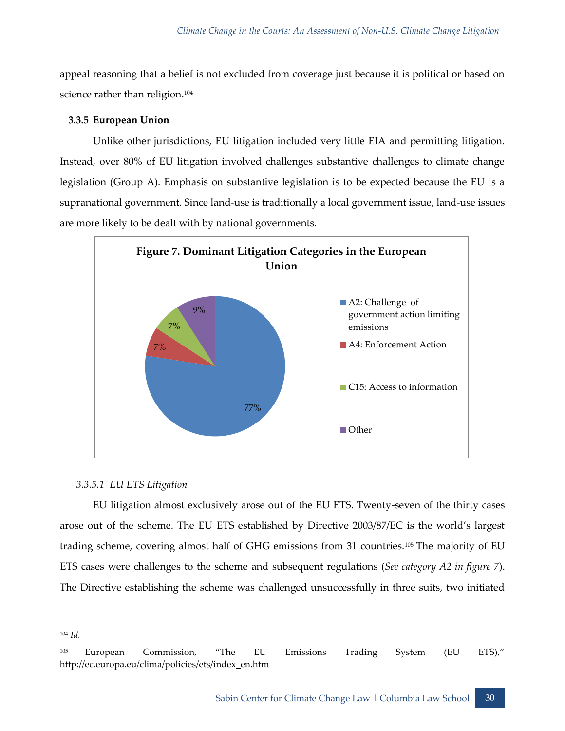appeal reasoning that a belief is not excluded from coverage just because it is political or based on science rather than religion.<sup>104</sup>

#### <span id="page-41-0"></span>**3.3.5 European Union**

Unlike other jurisdictions, EU litigation included very little EIA and permitting litigation. Instead, over 80% of EU litigation involved challenges substantive challenges to climate change legislation (Group A). Emphasis on substantive legislation is to be expected because the EU is a supranational government. Since land-use is traditionally a local government issue, land-use issues are more likely to be dealt with by national governments.



#### *3.3.5.1 EU ETS Litigation*

EU litigation almost exclusively arose out of the EU ETS. Twenty-seven of the thirty cases arose out of the scheme. The EU ETS established by Directive 2003/87/EC is the world's largest trading scheme, covering almost half of GHG emissions from 31 countries.<sup>105</sup> The majority of EU ETS cases were challenges to the scheme and subsequent regulations (*See category A2 in figure 7*). The Directive establishing the scheme was challenged unsuccessfully in three suits, two initiated

<sup>104</sup> *Id.* 

<sup>105</sup> European Commission, "The EU Emissions Trading System (EU ETS)," http://ec.europa.eu/clima/policies/ets/index\_en.htm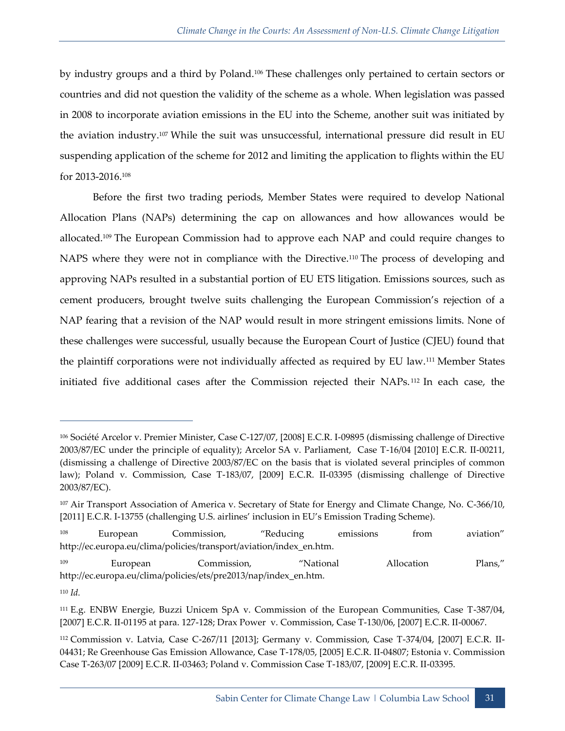by industry groups and a third by Poland.<sup>106</sup> These challenges only pertained to certain sectors or countries and did not question the validity of the scheme as a whole. When legislation was passed in 2008 to incorporate aviation emissions in the EU into the Scheme, another suit was initiated by the aviation industry.<sup>107</sup> While the suit was unsuccessful, international pressure did result in EU suspending application of the scheme for 2012 and limiting the application to flights within the EU for 2013-2016.<sup>108</sup>

Before the first two trading periods, Member States were required to develop National Allocation Plans (NAPs) determining the cap on allowances and how allowances would be allocated.<sup>109</sup> The European Commission had to approve each NAP and could require changes to NAPS where they were not in compliance with the Directive.<sup>110</sup> The process of developing and approving NAPs resulted in a substantial portion of EU ETS litigation. Emissions sources, such as cement producers, brought twelve suits challenging the European Commission's rejection of a NAP fearing that a revision of the NAP would result in more stringent emissions limits. None of these challenges were successful, usually because the European Court of Justice (CJEU) found that the plaintiff corporations were not individually affected as required by EU law.<sup>111</sup> Member States initiated five additional cases after the Commission rejected their NAPs. <sup>112</sup> In each case, the

<sup>106</sup> Société Arcelor v. Premier Minister, Case C-127/07, [2008] E.C.R. I-09895 (dismissing challenge of Directive 2003/87/EC under the principle of equality); Arcelor SA v. Parliament, Case T-16/04 [2010] E.C.R. II-00211, (dismissing a challenge of Directive 2003/87/EC on the basis that is violated several principles of common law); Poland v. Commission, Case T-183/07, [2009] E.C.R. II-03395 (dismissing challenge of Directive 2003/87/EC).

<sup>&</sup>lt;sup>107</sup> Air Transport Association of America v. Secretary of State for Energy and Climate Change, No. C-366/10, [2011] E.C.R. I-13755 (challenging U.S. airlines' inclusion in EU's Emission Trading Scheme).

<sup>108</sup> European Commission, "Reducing emissions from aviation" http://ec.europa.eu/clima/policies/transport/aviation/index\_en.htm.

<sup>109</sup> European Commission, "National Allocation Plans," http://ec.europa.eu/clima/policies/ets/pre2013/nap/index\_en.htm.

<sup>110</sup> *Id.*

<sup>111</sup> E.g. ENBW Energie, Buzzi Unicem SpA v. Commission of the European Communities, Case T-387/04, [2007] E.C.R. II-01195 at para. 127-128; Drax Power v. Commission, Case T-130/06, [2007] E.C.R. II-00067.

<sup>112</sup> Commission v. Latvia, Case C-267/11 [2013]; Germany v. Commission, Case T-374/04, [2007] E.C.R. II-04431; Re Greenhouse Gas Emission Allowance, Case T-178/05, [2005] E.C.R. II-04807; Estonia v. Commission Case T-263/07 [2009] E.C.R. II-03463; Poland v. Commission Case T-183/07, [2009] E.C.R. II-03395.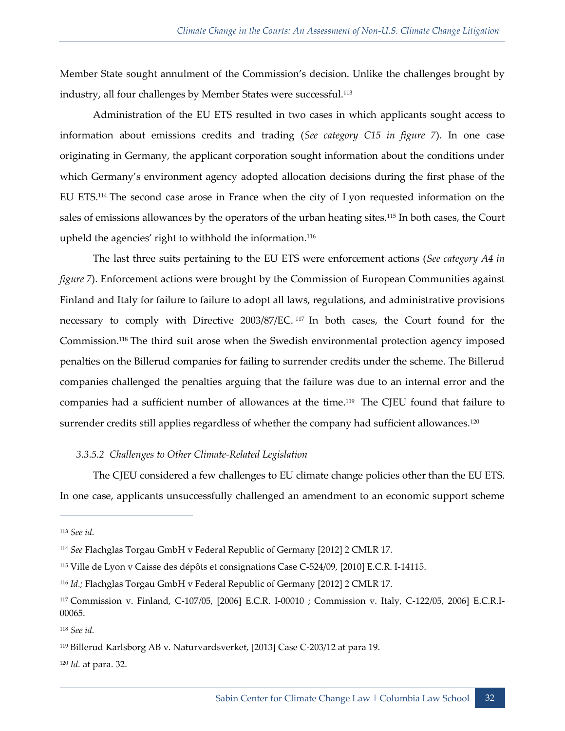Member State sought annulment of the Commission's decision. Unlike the challenges brought by industry, all four challenges by Member States were successful.<sup>113</sup>

Administration of the EU ETS resulted in two cases in which applicants sought access to information about emissions credits and trading (*See category C15 in figure 7*). In one case originating in Germany, the applicant corporation sought information about the conditions under which Germany's environment agency adopted allocation decisions during the first phase of the EU ETS.<sup>114</sup> The second case arose in France when the city of Lyon requested information on the sales of emissions allowances by the operators of the urban heating sites.<sup>115</sup> In both cases, the Court upheld the agencies' right to withhold the information.<sup>116</sup>

The last three suits pertaining to the EU ETS were enforcement actions (*See category A4 in figure 7*). Enforcement actions were brought by the Commission of European Communities against Finland and Italy for failure to failure to adopt all laws, regulations, and administrative provisions necessary to comply with Directive 2003/87/EC. <sup>117</sup> In both cases, the Court found for the Commission.<sup>118</sup> The third suit arose when the Swedish environmental protection agency imposed penalties on the Billerud companies for failing to surrender credits under the scheme. The Billerud companies challenged the penalties arguing that the failure was due to an internal error and the companies had a sufficient number of allowances at the time.<sup>119</sup> The CJEU found that failure to surrender credits still applies regardless of whether the company had sufficient allowances.<sup>120</sup>

#### *3.3.5.2 Challenges to Other Climate-Related Legislation*

The CJEU considered a few challenges to EU climate change policies other than the EU ETS. In one case, applicants unsuccessfully challenged an amendment to an economic support scheme

<sup>113</sup> *See id.*

<sup>114</sup> *See* Flachglas Torgau GmbH v Federal Republic of Germany [2012] 2 CMLR 17.

<sup>115</sup> Ville de Lyon v Caisse des dépôts et consignations Case C-524/09, [2010] E.C.R. I-14115.

<sup>116</sup> *Id.;* Flachglas Torgau GmbH v Federal Republic of Germany [2012] 2 CMLR 17.

<sup>117</sup> Commission v. Finland, C-107/05, [2006] E.C.R. I-00010 ; Commission v. Italy, C-122/05, 2006] E.C.R.I-00065.

<sup>118</sup> *See id.*

<sup>119</sup> Billerud Karlsborg AB v. Naturvardsverket, [2013] Case C-203/12 at para 19.

<sup>120</sup> *Id.* at para. 32.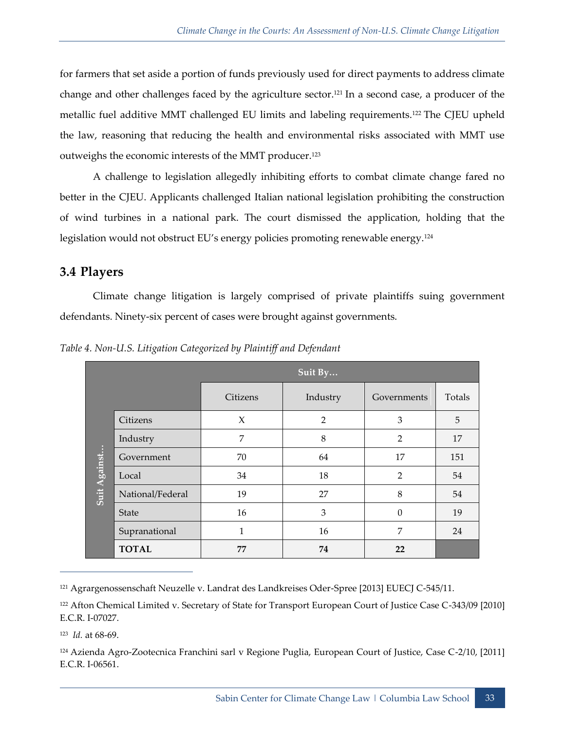for farmers that set aside a portion of funds previously used for direct payments to address climate change and other challenges faced by the agriculture sector.<sup>121</sup> In a second case, a producer of the metallic fuel additive MMT challenged EU limits and labeling requirements.<sup>122</sup> The CJEU upheld the law, reasoning that reducing the health and environmental risks associated with MMT use outweighs the economic interests of the MMT producer.<sup>123</sup>

A challenge to legislation allegedly inhibiting efforts to combat climate change fared no better in the CJEU. Applicants challenged Italian national legislation prohibiting the construction of wind turbines in a national park. The court dismissed the application, holding that the legislation would not obstruct EU's energy policies promoting renewable energy.<sup>124</sup>

## <span id="page-44-0"></span>**3.4 Players**

Climate change litigation is largely comprised of private plaintiffs suing government defendants. Ninety-six percent of cases were brought against governments.

|              |                  | Suit By  |                |                |        |
|--------------|------------------|----------|----------------|----------------|--------|
|              |                  | Citizens | Industry       | Governments    | Totals |
|              | Citizens         | X        | $\overline{2}$ | 3              | 5      |
|              | Industry         | 7        | 8              | $\overline{2}$ | 17     |
| Suit Against | Government       | 70       | 64             | 17             | 151    |
|              | Local            | 34       | 18             | $\overline{2}$ | 54     |
|              | National/Federal | 19       | 27             | 8              | 54     |
|              | <b>State</b>     | 16       | 3              | $\theta$       | 19     |
|              | Supranational    | 1        | 16             | 7              | 24     |
|              | <b>TOTAL</b>     | 77       | 74             | 22             |        |

*Table 4. Non-U.S. Litigation Categorized by Plaintiff and Defendant*

<sup>121</sup> Agrargenossenschaft Neuzelle v. Landrat des Landkreises Oder-Spree [2013] EUECJ C-545/11.

<sup>122</sup> Afton Chemical Limited v. Secretary of State for Transport European Court of Justice Case C-343/09 [2010] E.C.R. I-07027.

123 *Id.* at 68-69.

 $\overline{a}$ 

<sup>124</sup> Azienda Agro-Zootecnica Franchini sarl v Regione Puglia, European Court of Justice, Case C-2/10, [2011] E.C.R. I-06561.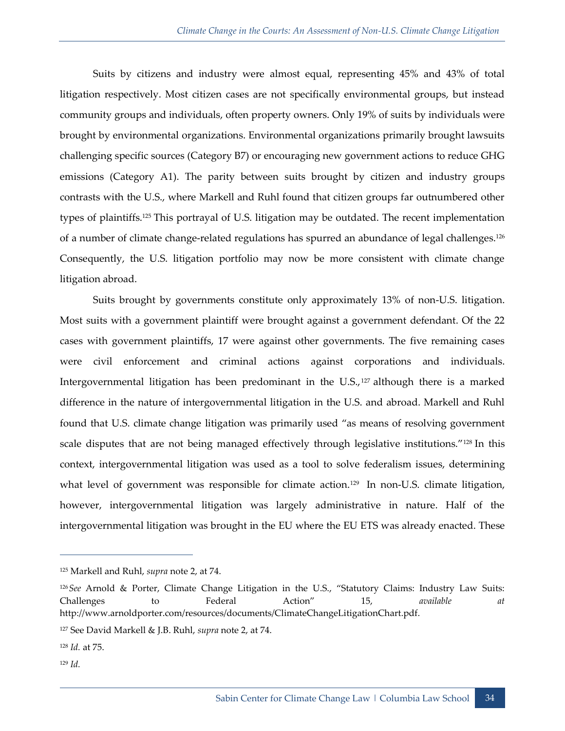Suits by citizens and industry were almost equal, representing 45% and 43% of total litigation respectively. Most citizen cases are not specifically environmental groups, but instead community groups and individuals, often property owners. Only 19% of suits by individuals were brought by environmental organizations. Environmental organizations primarily brought lawsuits challenging specific sources (Category B7) or encouraging new government actions to reduce GHG emissions (Category A1). The parity between suits brought by citizen and industry groups contrasts with the U.S., where Markell and Ruhl found that citizen groups far outnumbered other types of plaintiffs.<sup>125</sup> This portrayal of U.S. litigation may be outdated. The recent implementation of a number of climate change-related regulations has spurred an abundance of legal challenges.<sup>126</sup> Consequently, the U.S. litigation portfolio may now be more consistent with climate change litigation abroad.

Suits brought by governments constitute only approximately 13% of non-U.S. litigation. Most suits with a government plaintiff were brought against a government defendant. Of the 22 cases with government plaintiffs, 17 were against other governments. The five remaining cases were civil enforcement and criminal actions against corporations and individuals. Intergovernmental litigation has been predominant in the U.S.,<sup>127</sup> although there is a marked difference in the nature of intergovernmental litigation in the U.S. and abroad. Markell and Ruhl found that U.S. climate change litigation was primarily used "as means of resolving government scale disputes that are not being managed effectively through legislative institutions."<sup>128</sup> In this context, intergovernmental litigation was used as a tool to solve federalism issues, determining what level of government was responsible for climate action.<sup>129</sup> In non-U.S. climate litigation, however, intergovernmental litigation was largely administrative in nature. Half of the intergovernmental litigation was brought in the EU where the EU ETS was already enacted. These

<sup>129</sup> *Id.*

<sup>125</sup> Markell and Ruhl, *supra* note 2, at 74.

<sup>126</sup>*See* Arnold & Porter, Climate Change Litigation in the U.S., "Statutory Claims: Industry Law Suits: Challenges to Federal Action" 15, *available at*  http://www.arnoldporter.com/resources/documents/ClimateChangeLitigationChart.pdf.

<sup>127</sup> See David Markell & J.B. Ruhl, *supra* note 2, at 74.

<sup>128</sup> *Id.* at 75.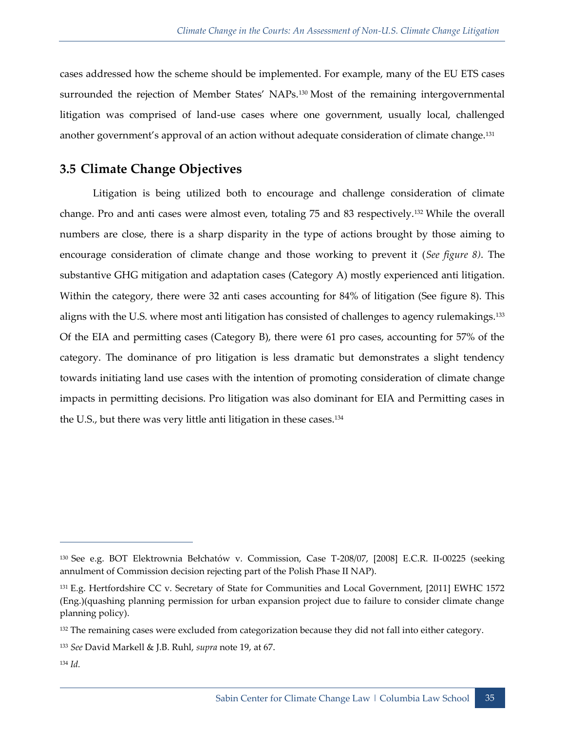cases addressed how the scheme should be implemented. For example, many of the EU ETS cases surrounded the rejection of Member States' NAPs.<sup>130</sup> Most of the remaining intergovernmental litigation was comprised of land-use cases where one government, usually local, challenged another government's approval of an action without adequate consideration of climate change.<sup>131</sup>

## <span id="page-46-0"></span>**3.5 Climate Change Objectives**

Litigation is being utilized both to encourage and challenge consideration of climate change. Pro and anti cases were almost even, totaling 75 and 83 respectively.<sup>132</sup> While the overall numbers are close, there is a sharp disparity in the type of actions brought by those aiming to encourage consideration of climate change and those working to prevent it (*See figure 8)*. The substantive GHG mitigation and adaptation cases (Category A) mostly experienced anti litigation. Within the category, there were 32 anti cases accounting for 84% of litigation (See figure 8). This aligns with the U.S. where most anti litigation has consisted of challenges to agency rulemakings.<sup>133</sup> Of the EIA and permitting cases (Category B), there were 61 pro cases, accounting for 57% of the category. The dominance of pro litigation is less dramatic but demonstrates a slight tendency towards initiating land use cases with the intention of promoting consideration of climate change impacts in permitting decisions. Pro litigation was also dominant for EIA and Permitting cases in the U.S., but there was very little anti litigation in these cases.<sup>134</sup>

<sup>130</sup> See e.g. BOT Elektrownia Bełchatów v. Commission, Case T-208/07, [2008] E.C.R. II-00225 (seeking annulment of Commission decision rejecting part of the Polish Phase II NAP).

<sup>131</sup> E.g. Hertfordshire CC v. Secretary of State for Communities and Local Government, [2011] EWHC 1572 (Eng.)(quashing planning permission for urban expansion project due to failure to consider climate change planning policy).

<sup>&</sup>lt;sup>132</sup> The remaining cases were excluded from categorization because they did not fall into either category.

<sup>133</sup> *See* David Markell & J.B. Ruhl, *supra* note 19, at 67.

<sup>134</sup> *Id.*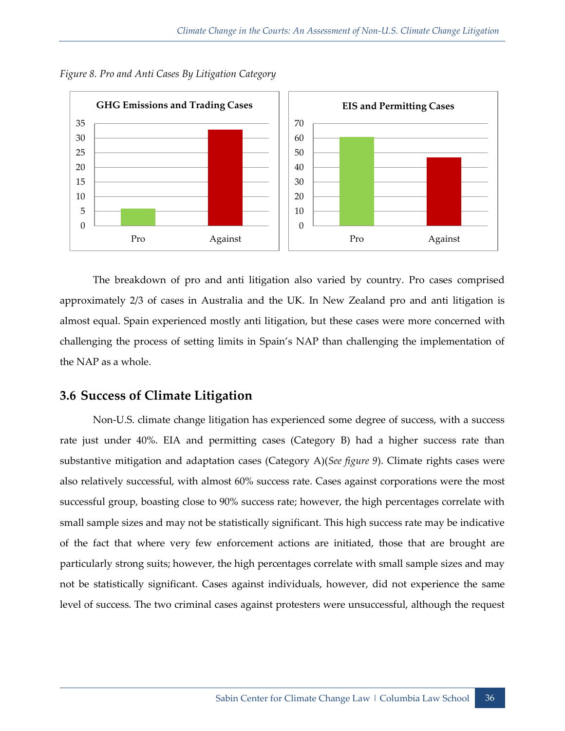

*Figure 8. Pro and Anti Cases By Litigation Category*

The breakdown of pro and anti litigation also varied by country. Pro cases comprised approximately 2/3 of cases in Australia and the UK. In New Zealand pro and anti litigation is almost equal. Spain experienced mostly anti litigation, but these cases were more concerned with challenging the process of setting limits in Spain's NAP than challenging the implementation of the NAP as a whole.

## <span id="page-47-0"></span>**3.6 Success of Climate Litigation**

Non-U.S. climate change litigation has experienced some degree of success, with a success rate just under 40%. EIA and permitting cases (Category B) had a higher success rate than substantive mitigation and adaptation cases (Category A)(*See figure 9*). Climate rights cases were also relatively successful, with almost 60% success rate. Cases against corporations were the most successful group, boasting close to 90% success rate; however, the high percentages correlate with small sample sizes and may not be statistically significant. This high success rate may be indicative of the fact that where very few enforcement actions are initiated, those that are brought are particularly strong suits; however, the high percentages correlate with small sample sizes and may not be statistically significant. Cases against individuals, however, did not experience the same level of success. The two criminal cases against protesters were unsuccessful, although the request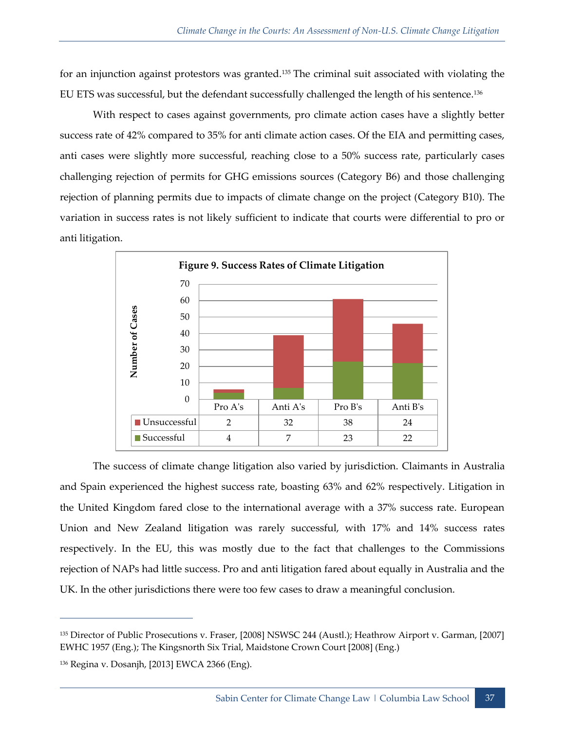for an injunction against protestors was granted.<sup>135</sup> The criminal suit associated with violating the EU ETS was successful, but the defendant successfully challenged the length of his sentence.<sup>136</sup>

With respect to cases against governments, pro climate action cases have a slightly better success rate of 42% compared to 35% for anti climate action cases. Of the EIA and permitting cases, anti cases were slightly more successful, reaching close to a 50% success rate, particularly cases challenging rejection of permits for GHG emissions sources (Category B6) and those challenging rejection of planning permits due to impacts of climate change on the project (Category B10). The variation in success rates is not likely sufficient to indicate that courts were differential to pro or anti litigation.



The success of climate change litigation also varied by jurisdiction. Claimants in Australia and Spain experienced the highest success rate, boasting 63% and 62% respectively. Litigation in the United Kingdom fared close to the international average with a 37% success rate. European Union and New Zealand litigation was rarely successful, with 17% and 14% success rates respectively. In the EU, this was mostly due to the fact that challenges to the Commissions rejection of NAPs had little success. Pro and anti litigation fared about equally in Australia and the UK. In the other jurisdictions there were too few cases to draw a meaningful conclusion.

<sup>135</sup> Director of Public Prosecutions v. Fraser, [2008] NSWSC 244 (Austl.); Heathrow Airport v. Garman, [2007] EWHC 1957 (Eng.); The Kingsnorth Six Trial, Maidstone Crown Court [2008] (Eng.)

<sup>136</sup> Regina v. Dosanjh, [2013] EWCA 2366 (Eng).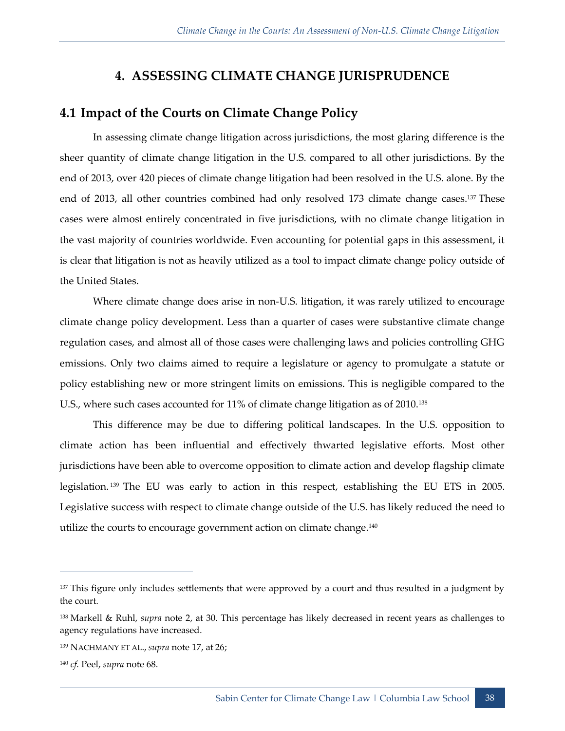## **4. ASSESSING CLIMATE CHANGE JURISPRUDENCE**

## <span id="page-49-1"></span><span id="page-49-0"></span>**4.1 Impact of the Courts on Climate Change Policy**

In assessing climate change litigation across jurisdictions, the most glaring difference is the sheer quantity of climate change litigation in the U.S. compared to all other jurisdictions. By the end of 2013, over 420 pieces of climate change litigation had been resolved in the U.S. alone. By the end of 2013, all other countries combined had only resolved 173 climate change cases.<sup>137</sup> These cases were almost entirely concentrated in five jurisdictions, with no climate change litigation in the vast majority of countries worldwide. Even accounting for potential gaps in this assessment, it is clear that litigation is not as heavily utilized as a tool to impact climate change policy outside of the United States.

Where climate change does arise in non-U.S. litigation, it was rarely utilized to encourage climate change policy development. Less than a quarter of cases were substantive climate change regulation cases, and almost all of those cases were challenging laws and policies controlling GHG emissions. Only two claims aimed to require a legislature or agency to promulgate a statute or policy establishing new or more stringent limits on emissions. This is negligible compared to the U.S., where such cases accounted for 11% of climate change litigation as of 2010.<sup>138</sup>

This difference may be due to differing political landscapes. In the U.S. opposition to climate action has been influential and effectively thwarted legislative efforts. Most other jurisdictions have been able to overcome opposition to climate action and develop flagship climate legislation. <sup>139</sup> The EU was early to action in this respect, establishing the EU ETS in 2005. Legislative success with respect to climate change outside of the U.S. has likely reduced the need to utilize the courts to encourage government action on climate change.<sup>140</sup>

<sup>&</sup>lt;sup>137</sup> This figure only includes settlements that were approved by a court and thus resulted in a judgment by the court.

<sup>138</sup> Markell & Ruhl, *supra* note 2, at 30. This percentage has likely decreased in recent years as challenges to agency regulations have increased.

<sup>139</sup> NACHMANY ET AL., *supra* note 17, at 26;

<sup>140</sup> *cf.* Peel, *supra* note 68.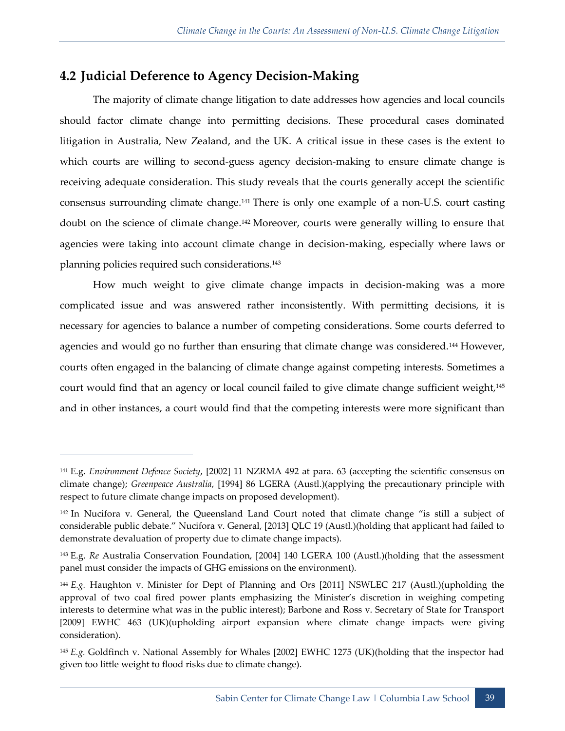## <span id="page-50-0"></span>**4.2 Judicial Deference to Agency Decision-Making**

 $\overline{a}$ 

The majority of climate change litigation to date addresses how agencies and local councils should factor climate change into permitting decisions. These procedural cases dominated litigation in Australia, New Zealand, and the UK. A critical issue in these cases is the extent to which courts are willing to second-guess agency decision-making to ensure climate change is receiving adequate consideration. This study reveals that the courts generally accept the scientific consensus surrounding climate change.<sup>141</sup> There is only one example of a non-U.S. court casting doubt on the science of climate change.<sup>142</sup> Moreover, courts were generally willing to ensure that agencies were taking into account climate change in decision-making, especially where laws or planning policies required such considerations.<sup>143</sup>

How much weight to give climate change impacts in decision-making was a more complicated issue and was answered rather inconsistently. With permitting decisions, it is necessary for agencies to balance a number of competing considerations. Some courts deferred to agencies and would go no further than ensuring that climate change was considered.<sup>144</sup> However, courts often engaged in the balancing of climate change against competing interests. Sometimes a court would find that an agency or local council failed to give climate change sufficient weight,<sup>145</sup> and in other instances, a court would find that the competing interests were more significant than

<sup>141</sup> E.g. *Environment Defence Society*, [2002] 11 NZRMA 492 at para. 63 (accepting the scientific consensus on climate change); *Greenpeace Australia*, [1994] 86 LGERA (Austl.)(applying the precautionary principle with respect to future climate change impacts on proposed development).

<sup>142</sup> In Nucifora v. General, the Queensland Land Court noted that climate change "is still a subject of considerable public debate." Nucifora v. General, [2013] QLC 19 (Austl.)(holding that applicant had failed to demonstrate devaluation of property due to climate change impacts).

<sup>143</sup> E.g. *Re* Australia Conservation Foundation, [2004] 140 LGERA 100 (Austl.)(holding that the assessment panel must consider the impacts of GHG emissions on the environment).

<sup>144</sup> *E.g.* Haughton v. Minister for Dept of Planning and Ors [2011] NSWLEC 217 (Austl.)(upholding the approval of two coal fired power plants emphasizing the Minister's discretion in weighing competing interests to determine what was in the public interest); Barbone and Ross v. Secretary of State for Transport [2009] EWHC 463 (UK)(upholding airport expansion where climate change impacts were giving consideration).

<sup>145</sup> *E.g.* Goldfinch v. National Assembly for Whales [2002] EWHC 1275 (UK)(holding that the inspector had given too little weight to flood risks due to climate change).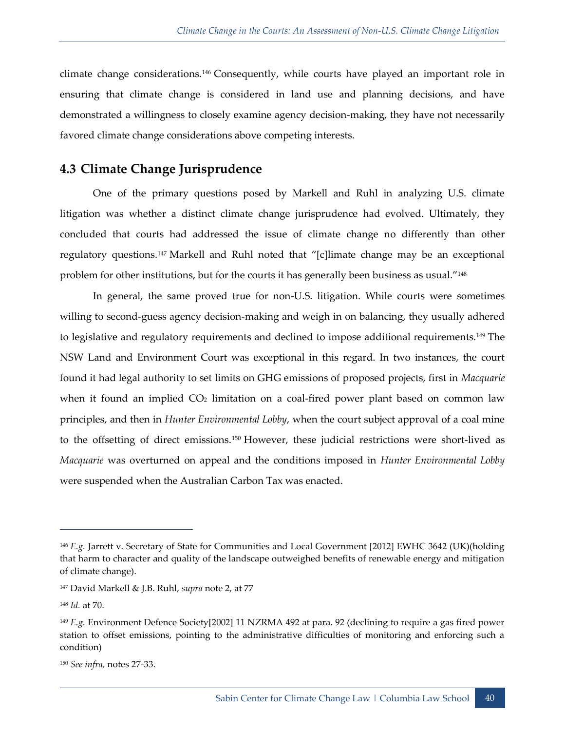climate change considerations.<sup>146</sup> Consequently, while courts have played an important role in ensuring that climate change is considered in land use and planning decisions, and have demonstrated a willingness to closely examine agency decision-making, they have not necessarily favored climate change considerations above competing interests.

## <span id="page-51-0"></span>**4.3 Climate Change Jurisprudence**

One of the primary questions posed by Markell and Ruhl in analyzing U.S. climate litigation was whether a distinct climate change jurisprudence had evolved. Ultimately, they concluded that courts had addressed the issue of climate change no differently than other regulatory questions.<sup>147</sup> Markell and Ruhl noted that "[c]limate change may be an exceptional problem for other institutions, but for the courts it has generally been business as usual."<sup>148</sup>

In general, the same proved true for non-U.S. litigation. While courts were sometimes willing to second-guess agency decision-making and weigh in on balancing, they usually adhered to legislative and regulatory requirements and declined to impose additional requirements.<sup>149</sup> The NSW Land and Environment Court was exceptional in this regard. In two instances, the court found it had legal authority to set limits on GHG emissions of proposed projects, first in *Macquarie*  when it found an implied  $CO<sub>2</sub>$  limitation on a coal-fired power plant based on common law principles, and then in *Hunter Environmental Lobby*, when the court subject approval of a coal mine to the offsetting of direct emissions.<sup>150</sup> However, these judicial restrictions were short-lived as *Macquarie* was overturned on appeal and the conditions imposed in *Hunter Environmental Lobby*  were suspended when the Australian Carbon Tax was enacted.

<sup>146</sup> *E.g.* Jarrett v. Secretary of State for Communities and Local Government [2012] EWHC 3642 (UK)(holding that harm to character and quality of the landscape outweighed benefits of renewable energy and mitigation of climate change).

<sup>147</sup> David Markell & J.B. Ruhl, *supra* note 2, at 77

<sup>148</sup> *Id.* at 70.

<sup>149</sup> *E.g.* Environment Defence Society[2002] 11 NZRMA 492 at para. 92 (declining to require a gas fired power station to offset emissions, pointing to the administrative difficulties of monitoring and enforcing such a condition)

<sup>150</sup> *See infra,* notes 27-33.